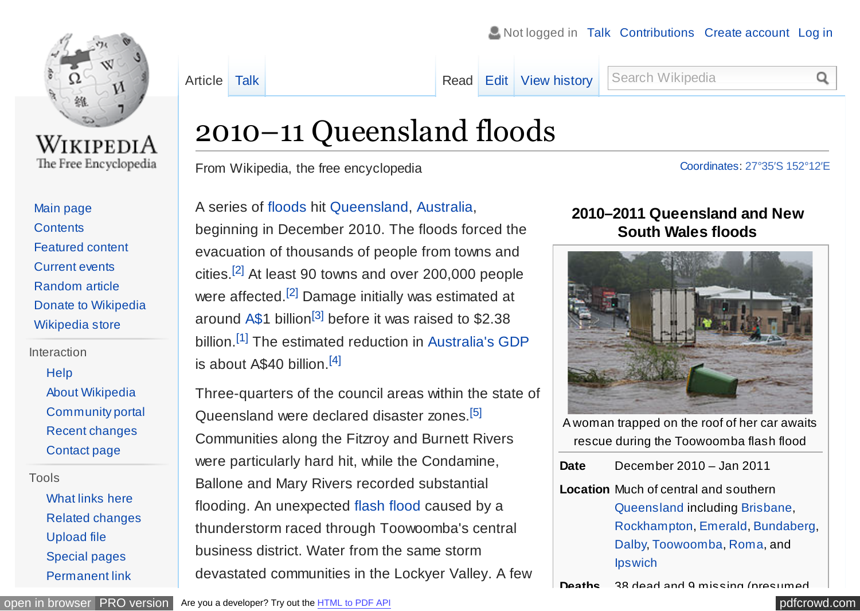<span id="page-0-0"></span>

WikipediA The Free Encyclopedia

[Main page](https://en.wikipedia.org/wiki/Main_Page) **[Contents](https://en.wikipedia.org/wiki/Portal:Contents)** [Featured content](https://en.wikipedia.org/wiki/Portal:Featured_content) [Current events](https://en.wikipedia.org/wiki/Portal:Current_events) [Random article](https://en.wikipedia.org/wiki/Special:Random) [Donate to Wikipedia](https://donate.wikimedia.org/wiki/Special:FundraiserRedirector?utm_source=donate&utm_medium=sidebar&utm_campaign=C13_en.wikipedia.org&uselang=en) [Wikipedia store](https://shop.wikimedia.org/)

Interaction

[Help](https://en.wikipedia.org/wiki/Help:Contents)

- [About Wikipedia](https://en.wikipedia.org/wiki/Wikipedia:About) [Community portal](https://en.wikipedia.org/wiki/Wikipedia:Community_portal) [Recent changes](https://en.wikipedia.org/wiki/Special:RecentChanges)
- [Contact page](https://en.wikipedia.org/wiki/Wikipedia:Contact_us)

#### Tools

[What links here](https://en.wikipedia.org/wiki/Special:WhatLinksHere/2010%E2%80%9311_Queensland_floods) [Related changes](https://en.wikipedia.org/wiki/Special:RecentChangesLinked/2010%E2%80%9311_Queensland_floods) [Upload file](https://en.wikipedia.org/wiki/Wikipedia:File_Upload_Wizard) [Special pages](https://en.wikipedia.org/wiki/Special:SpecialPages) [Permanent link](https://en.wikipedia.org/w/index.php?title=2010%E2%80%9311_Queensland_floods&oldid=751462029)

is about  $A$40 billion<sup>[4]</sup>$  $A$40 billion<sup>[4]</sup>$  $A$40 billion<sup>[4]</sup>$ 

From Wikipedia, the free encyclopedia

A series of [floods](https://en.wikipedia.org/wiki/Flood) hit [Queensland,](https://en.wikipedia.org/wiki/Queensland) [Australia,](https://en.wikipedia.org/wiki/Australia)

beginning in December 2010. The floods forced the

evacuation of thousands of people from towns and

cities.[\[2\]](#page-18-0) At least 90 towns and over 200,000 people

were affected.<sup>[\[2\]](#page-18-0)</sup> Damage initially was estimated at

around [A\\$1](https://en.wikipedia.org/wiki/Australian_dollar) billion<sup>[\[3\]](#page-18-0)</sup> before it was raised to \$2.38

billion.<sup>[\[1\]](#page-18-0)</sup> The estimated reduction in [Australia's GDP](https://en.wikipedia.org/wiki/Economy_of_Australia)

Three-quarters of the council areas within the state of

Queensland were declared disaster zones.[\[5\]](#page-19-0)

Communities along the Fitzroy and Burnett Rivers

were particularly hard hit, while the Condamine,

flooding. An unexpected [flash flood](https://en.wikipedia.org/wiki/Flash_flood) caused by a

thunderstorm raced through Toowoomba's central

Ballone and Mary Rivers recorded substantial

business district. Water from the same storm

[Article](https://en.wikipedia.org/wiki/2010%E2%80%9311_Queensland_floods) [Talk](https://en.wikipedia.org/wiki/Talk:2010%E2%80%9311_Queensland_floods) Talk **[Read](https://en.wikipedia.org/wiki/2010%E2%80%9311_Queensland_floods) [Edit](https://en.wikipedia.org/w/index.php?title=2010%E2%80%9311_Queensland_floods&action=edit) [View history](https://en.wikipedia.org/w/index.php?title=2010%E2%80%9311_Queensland_floods&action=history)** Search Wikipedia

 $\blacktriangleright$  Not logged in [Talk](https://en.wikipedia.org/wiki/Special:MyTalk) [Contributions](https://en.wikipedia.org/wiki/Special:MyContributions) [Create account](https://en.wikipedia.org/w/index.php?title=Special:CreateAccount&returnto=2010%E2%80%9311+Queensland+floods) [Log in](https://en.wikipedia.org/w/index.php?title=Special:UserLogin&returnto=2010%E2%80%9311+Queensland+floods)

Q

# [Coordinates:](https://en.wikipedia.org/wiki/Geographic_coordinate_system) 27°35′S [152°12′E](https://tools.wmflabs.org/geohack/geohack.php?pagename=2010%E2%80%9311_Queensland_floods¶ms=27_35_S_152_12_E_region:AU_type:city&title=Grantham%2C+Queensland)

## **2010–2011 Queensland and New South Wales floods**



A woman trapped on the roof of her car awaits rescue during the Toowoomba flash flood

**Location** Much of central and southern [Queensland](https://en.wikipedia.org/wiki/Queensland) including [Brisbane,](https://en.wikipedia.org/wiki/Brisbane) [Rockhampton,](https://en.wikipedia.org/wiki/Rockhampton) [Emerald,](https://en.wikipedia.org/wiki/Emerald,_Queensland) [Bundaberg,](https://en.wikipedia.org/wiki/Bundaberg) [Dalby,](https://en.wikipedia.org/wiki/Dalby,_Queensland) [Toowoomba,](https://en.wikipedia.org/wiki/Toowoomba) [Roma,](https://en.wikipedia.org/wiki/Roma,_Queensland) and **[Ipswich](https://en.wikipedia.org/wiki/Ipswich,_Queensland)** 

**Deaths** 38 dead and 9 missing (presumed

[open in browser](http://pdfcrowd.com/redirect/?url=https%3a%2f%2fen.wikipedia.org%2fwiki%2f2010%25E2%2580%259311_Queensland_floods&id=ma-161129012412-1059a10e) [PRO version](http://pdfcrowd.com/customize/) Are you a developer? Try out th[e HTML to PDF API](http://pdfcrowd.com/html-to-pdf-api/?ref=pdf) compared and the ATML to PDF API [pdfcrowd.com](http://pdfcrowd.com)

devastated communities in the Lockyer Valley. A few

2010–11 Queensland floods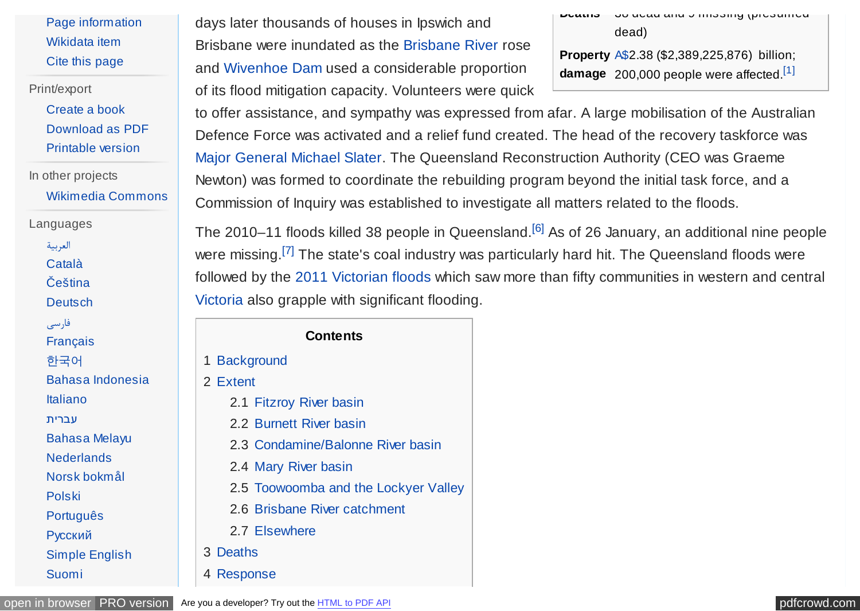<span id="page-1-0"></span>[Page information](https://en.wikipedia.org/w/index.php?title=2010%E2%80%9311_Queensland_floods&action=info) [Wikidata item](https://www.wikidata.org/wiki/Q837833) [Cite this page](https://en.wikipedia.org/w/index.php?title=Special:CiteThisPage&page=2010%E2%80%9311_Queensland_floods&id=751462029)

Print/export

[Create a book](https://en.wikipedia.org/w/index.php?title=Special:Book&bookcmd=book_creator&referer=2010%E2%80%9311+Queensland+floods) [Download as PDF](https://en.wikipedia.org/w/index.php?title=Special:Book&bookcmd=render_article&arttitle=2010%E2%80%9311+Queensland+floods&returnto=2010%E2%80%9311+Queensland+floods&oldid=751462029&writer=rdf2latex) [Printable version](https://en.wikipedia.org/w/index.php?title=2010%E2%80%9311_Queensland_floods&printable=yes)

In other projects [Wikimedia Commons](https://commons.wikimedia.org/wiki/Category:2010%E2%80%932011_Queensland_floods)

Languages

[العربیة](https://ar.wikipedia.org/wiki/%D9%81%D9%8A%D8%B6%D8%A7%D9%86%D8%A7%D8%AA_%D9%83%D9%88%D9%8A%D9%86%D8%B2%D9%84%D8%A7%D9%86%D8%AF)

[Català](https://ca.wikipedia.org/wiki/Inundacions_d%27Austr%C3%A0lia_del_2010%E2%80%932011)

[Čeština](https://cs.wikipedia.org/wiki/Povodn%C4%9B_v_Queenslandu_2010-2011)

**[Deutsch](https://de.wikipedia.org/wiki/%C3%9Cberschwemmungen_in_Queensland_2010/2011)** 

[فارسی](https://fa.wikipedia.org/wiki/%D8%B3%DB%8C%D9%84%E2%80%8C%D9%87%D8%A7%DB%8C_%DB%B2%DB%B0%DB%B1%DB%B1%E2%80%93%DB%B2%DB%B0%DB%B1%DB%B0_%DA%A9%D9%88%D8%A6%DB%8C%D9%86%D8%B2%D9%84%D9%86%D8%AF) [Français](https://fr.wikipedia.org/wiki/Inondations_au_Queensland_(2010-2011)) [한국어](https://ko.wikipedia.org/wiki/2010~2011%EB%85%84_%ED%80%B8%EC%A6%90%EB%9E%9C%EB%93%9C_%ED%99%8D%EC%88%98)

[Bahasa Indonesia](https://id.wikipedia.org/wiki/Banjir_Queensland_2010%E2%80%932011)

[Italiano](https://it.wikipedia.org/wiki/Inondazioni_nel_Queensland_(2010-2011))

[עברית](https://he.wikipedia.org/wiki/%D7%94%D7%94%D7%A6%D7%A4%D7%95%D7%AA_%D7%91%D7%A7%D7%95%D7%95%D7%99%D7%A0%D7%A1%D7%9C%D7%A0%D7%93_(2010%E2%80%932011))

[Bahasa Melayu](https://ms.wikipedia.org/wiki/Banjir_Queensland_2010-2011)

**[Nederlands](https://nl.wikipedia.org/wiki/Overstromingen_in_Queensland_2010-2011)** 

[Norsk bokmål](https://no.wikipedia.org/wiki/Flommen_i_Australia_desember_2010_og_januar_2011)

[Polski](https://pl.wikipedia.org/wiki/Powodzie_w_Queensland_(2010-2011))

[Português](https://pt.wikipedia.org/wiki/Enchentes_na_Austr%C3%A1lia_em_2010%E2%80%932011)

[Русский](https://ru.wikipedia.org/wiki/%D0%9D%D0%B0%D0%B2%D0%BE%D0%B4%D0%BD%D0%B5%D0%BD%D0%B8%D1%8F_%D0%B2_%D0%9A%D0%B2%D0%B8%D0%BD%D1%81%D0%BB%D0%B5%D0%BD%D0%B4%D0%B5_(2010%E2%80%942011))

[Simple English](https://simple.wikipedia.org/wiki/2010%E2%80%932011_Queensland_floods) [Suomi](https://fi.wikipedia.org/wiki/Queenslandin_tulvat_2010%E2%80%932011)

days later thousands of houses in Ipswich and Brisbane were inundated as the [Brisbane River](https://en.wikipedia.org/wiki/Brisbane_River) rose and [Wivenhoe Dam](https://en.wikipedia.org/wiki/Wivenhoe_Dam) used a considerable proportion of its flood mitigation capacity. Volunteers were quick **Deaths** 30 dead and 9 missing (presumed dead)

**Property** [A\\$2](https://en.wikipedia.org/wiki/Australian_dollar).38 (\$2,389,225,876) billion; **damage** 200,000 people were affected.[\[1\]](#page-18-0)

to offer assistance, and sympathy was expressed from afar. A large mobilisation of the Australian Defence Force was activated and a relief fund created. The head of the recovery taskforce was [Major General](https://en.wikipedia.org/wiki/Major_General_(Australia)) [Michael Slater.](https://en.wikipedia.org/wiki/Michael_Slater_(general)) The Queensland Reconstruction Authority (CEO was Graeme Newton) was formed to coordinate the rebuilding program beyond the initial task force, and a Commission of Inquiry was established to investigate all matters related to the floods.

The 2010–11 floods killed 38 people in Queensland.<sup>[\[6\]](#page-19-0)</sup> As of 26 January, an additional nine people were missing.<sup>[\[7\]](#page-19-0)</sup> The state's coal industry was particularly hard hit. The Queensland floods were followed by the [2011 Victorian floods](https://en.wikipedia.org/wiki/2011_Victorian_floods) which saw more than fifty communities in western and central [Victoria](https://en.wikipedia.org/wiki/Victoria_(Australia)) also grapple with significant flooding.

#### **Contents**

1 [Background](#page-2-0)

2 [Extent](#page-4-0)

- 2.1 [Fitzroy River basin](#page-4-0)
- 2.2 [Burnett River basin](#page-5-0)
- 2.3 [Condamine/Balonne River basin](#page-6-0)
- 2.4 [Mary River basin](#page-7-0)
- 2.5 [Toowoomba and the Lockyer Valley](#page-7-0)
- 2.6 [Brisbane River catchment](#page-9-0)
- 2.7 [Elsewhere](#page-11-0)
- 3 [Deaths](#page-11-0)

4 [Response](#page-12-0)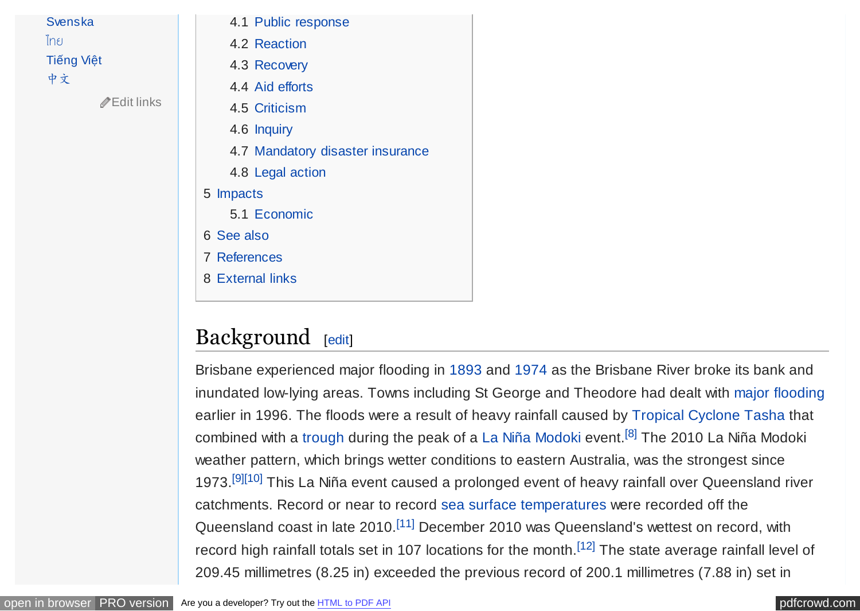#### <span id="page-2-0"></span>[Svenska](https://sv.wikipedia.org/wiki/%C3%96versv%C3%A4mningarna_i_Australien_2010%E2%80%932011)

[ไทย](https://th.wikipedia.org/wiki/%E0%B8%AD%E0%B8%B8%E0%B8%97%E0%B8%81%E0%B8%A0%E0%B8%B1%E0%B8%A2%E0%B9%83%E0%B8%99%E0%B8%A3%E0%B8%B1%E0%B8%90%E0%B8%84%E0%B8%A7%E0%B8%B5%E0%B8%99%E0%B8%AA%E0%B9%8C%E0%B9%81%E0%B8%A5%E0%B8%99%E0%B8%94%E0%B9%8C_%E0%B8%9E.%E0%B8%A8._2553-2554)

[Tiếng Việt](https://vi.wikipedia.org/wiki/L%C5%A9_l%E1%BB%A5t_Queensland_2010%E2%80%932011)

[中文](https://zh.wikipedia.org/wiki/2010%EF%BC%8D2011%E5%B9%B4%E6%98%86%E5%A3%AB%E8%98%AD%E6%B4%AA%E6%B0%B4)

[Edit links](https://www.wikidata.org/wiki/Q837833#sitelinks-wikipedia)

- 4.1 [Public response](#page-12-0)
- 4.2 [Reaction](#page-12-0)
- 4.3 [Recovery](#page-13-0)
- 4.4 [Aid efforts](#page-14-0)
- 4.5 [Criticism](#page-15-0)
- 4.6 [Inquiry](#page-16-0)
- 4.7 [Mandatory disaster insurance](#page-16-0)
- 4.8 [Legal action](#page-16-0)

#### 5 [Impacts](#page-17-0)

- 5.1 [Economic](#page-17-0)
- 6 [See also](#page-18-0)
- 7 [References](#page-18-0)
- 8 [External links](#page-30-0)

## Background [[edit\]](https://en.wikipedia.org/w/index.php?title=2010%E2%80%9311_Queensland_floods&action=edit§ion=1)

Brisbane experienced major flooding in [1893](https://en.wikipedia.org/wiki/1893_Brisbane_flood) and [1974](https://en.wikipedia.org/wiki/1974_Brisbane_flood) as the Brisbane River broke its bank and inundated low-lying areas. Towns including St George and Theodore had dealt with [major flooding](https://en.wikipedia.org/wiki/March_2010_Queensland_floods) earlier in 1996. The floods were a result of heavy rainfall caused by [Tropical Cyclone Tasha](https://en.wikipedia.org/wiki/Tropical_Cyclone_Tasha_(2010)) that combined with a [trough](https://en.wikipedia.org/wiki/Trough_(meteorology)) during the peak of a [La Niña](https://en.wikipedia.org/wiki/La_Ni%C3%B1a) [Modoki](https://en.wikipedia.org/wiki/La_Ni%C3%B1a#The_.22Modoki.22_or_Central-Pacific_La_Ni.C3.B1a) event.<sup>[\[8\]](#page-19-0)</sup> The 2010 La Niña Modoki weather pattern, which brings wetter conditions to eastern Australia, was the strongest since 1973.<sup>[\[9\]\[10\]](#page-19-0)</sup> This La Niña event caused a prolonged event of heavy rainfall over Queensland river catchments. Record or near to record [sea surface temperatures](https://en.wikipedia.org/wiki/Sea_surface_temperature) were recorded off the Queensland coast in late 2010.<sup>[\[11\]](#page-19-0)</sup> December 2010 was Queensland's wettest on record, with record high rainfall totals set in 107 locations for the month.<sup>[\[12\]](#page-19-0)</sup> The state average rainfall level of 209.45 millimetres (8.25 in) exceeded the previous record of 200.1 millimetres (7.88 in) set in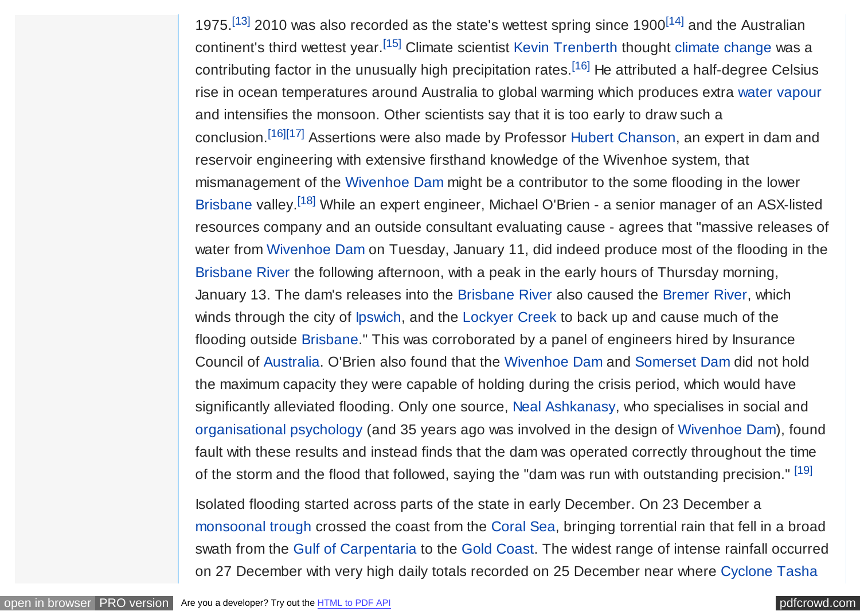<span id="page-3-0"></span>1975.<sup>[\[13\]](#page-19-0)</sup> 2010 was also recorded as the state's wettest spring since 1900<sup>[\[14\]](#page-19-0)</sup> and the Australian continent's third wettest year.<sup>[\[15\]](#page-19-0)</sup> Climate scientist [Kevin Trenberth](https://en.wikipedia.org/wiki/Kevin_Trenberth) thought [climate change](https://en.wikipedia.org/wiki/Climate_change) was a contributing factor in the unusually high precipitation rates.<sup>[\[16\]](#page-20-0)</sup> He attributed a half-degree Celsius rise in ocean temperatures around Australia to global warming which produces extra [water vapour](https://en.wikipedia.org/wiki/Water_vapour) and intensifies the monsoon. Other scientists say that it is too early to draw such a conclusion.[\[16\]\[17\]](#page-20-0) Assertions were also made by Professor [Hubert Chanson,](https://en.wikipedia.org/wiki/Hubert_Chanson) an expert in dam and reservoir engineering with extensive firsthand knowledge of the Wivenhoe system, that mismanagement of the [Wivenhoe Dam](https://en.wikipedia.org/wiki/Wivenhoe_Dam) might be a contributor to the some flooding in the lower [Brisbane](https://en.wikipedia.org/wiki/Brisbane) valley.[\[18\]](#page-20-0) While an expert engineer, Michael O'Brien - a senior manager of an ASX-listed resources company and an outside consultant evaluating cause - agrees that "massive releases of water from [Wivenhoe Dam](https://en.wikipedia.org/wiki/Wivenhoe_Dam) on Tuesday, January 11, did indeed produce most of the flooding in the [Brisbane River](https://en.wikipedia.org/wiki/Brisbane_River) the following afternoon, with a peak in the early hours of Thursday morning, January 13. The dam's releases into the [Brisbane River](https://en.wikipedia.org/wiki/Brisbane_River) also caused the [Bremer River,](https://en.wikipedia.org/wiki/Bremer_River_(Queensland)) which winds through the city of [Ipswich,](https://en.wikipedia.org/wiki/Ipswich,_Queensland) and the [Lockyer Creek](https://en.wikipedia.org/wiki/Lockyer_Creek) to back up and cause much of the flooding outside [Brisbane.](https://en.wikipedia.org/wiki/Brisbane)" This was corroborated by a panel of engineers hired by Insurance Council of [Australia.](https://en.wikipedia.org/wiki/Australia) O'Brien also found that the [Wivenhoe Dam](https://en.wikipedia.org/wiki/Wivenhoe_Dam) and [Somerset Dam](https://en.wikipedia.org/wiki/Somerset_Dam) did not hold the maximum capacity they were capable of holding during the crisis period, which would have significantly alleviated flooding. Only one source, [Neal Ashkanasy,](https://en.wikipedia.org/wiki/Neal_Ashkanasy) who specialises in social and [organisational psychology](https://en.wikipedia.org/wiki/Organisational_psychology) (and 35 years ago was involved in the design of [Wivenhoe Dam\)](https://en.wikipedia.org/wiki/Wivenhoe_Dam), found fault with these results and instead finds that the dam was operated correctly throughout the time of the storm and the flood that followed, saying the "dam was run with outstanding precision." [\[19\]](#page-20-0)

Isolated flooding started across parts of the state in early December. On 23 December a [monsoonal trough](https://en.wikipedia.org/wiki/Monsoon_trough) crossed the coast from the [Coral Sea,](https://en.wikipedia.org/wiki/Coral_Sea) bringing torrential rain that fell in a broad swath from the [Gulf of Carpentaria](https://en.wikipedia.org/wiki/Gulf_of_Carpentaria) to the [Gold Coast.](https://en.wikipedia.org/wiki/Gold_Coast,_Queensland) The widest range of intense rainfall occurred on 27 December with very high daily totals recorded on 25 December near where [Cyclone Tasha](https://en.wikipedia.org/wiki/Cyclone_Tasha)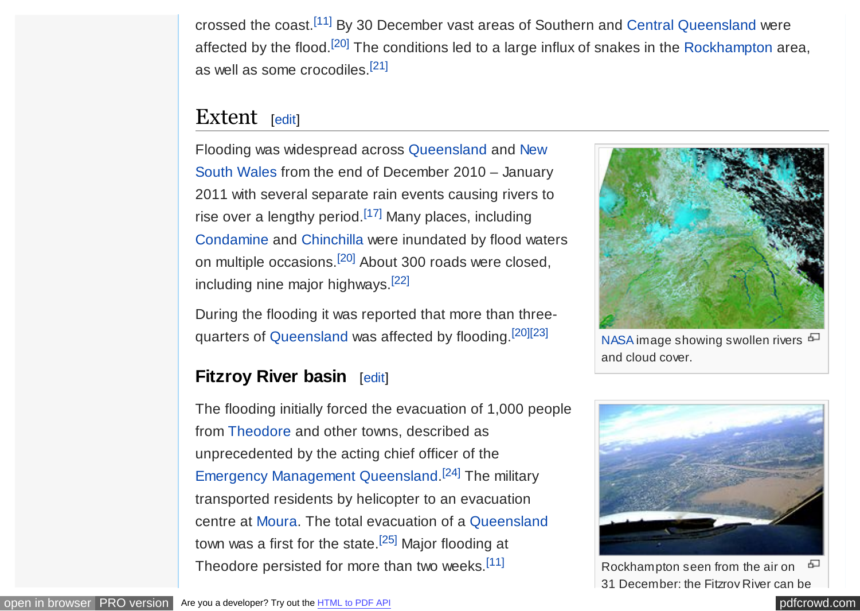<span id="page-4-0"></span>crossed the coast.[\[11\]](#page-19-0) By 30 December vast areas of Southern and [Central Queensland](https://en.wikipedia.org/wiki/Central_Queensland) were affected by the flood.<sup>[\[20\]](#page-20-0)</sup> The conditions led to a large influx of snakes in the [Rockhampton](https://en.wikipedia.org/wiki/Rockhampton) area, as well as some crocodiles.[\[21\]](#page-20-0)

## Extent [[edit\]](https://en.wikipedia.org/w/index.php?title=2010%E2%80%9311_Queensland_floods&action=edit§ion=2)

[Flooding was widespread across Queensland and New](https://en.wikipedia.org/wiki/New_South_Wales) South Wales from the end of December 2010 – January 2011 with several separate rain events causing rivers to rise over a lengthy period.<sup>[\[17\]](#page-20-0)</sup> Many places, including [Condamine](https://en.wikipedia.org/wiki/Condamine,_Queensland) and [Chinchilla](https://en.wikipedia.org/wiki/Chinchilla,_Queensland) were inundated by flood waters on multiple occasions.[\[20\]](#page-20-0) About 300 roads were closed, including nine major highways.[\[22\]](#page-20-0)

During the flooding it was reported that more than three-quarters of [Queensland](https://en.wikipedia.org/wiki/Queensland) was affected by flooding.<sup>[\[20\]\[23\]](#page-20-0)</sup>

## **Fitzroy River basin** [[edit\]](https://en.wikipedia.org/w/index.php?title=2010%E2%80%9311_Queensland_floods&action=edit§ion=3)

The flooding initially forced the evacuation of 1,000 people from [Theodore](https://en.wikipedia.org/wiki/Theodore,_Queensland) and other towns, described as unprecedented by the acting chief officer of the [Emergency Management Queensland.](https://en.wikipedia.org/wiki/Emergency_Management_Queensland)<sup>[\[24\]](#page-20-0)</sup> The military transported residents by helicopter to an evacuation centre at [Moura.](https://en.wikipedia.org/wiki/Moura,_Queensland) The total evacuation of a [Queensland](https://en.wikipedia.org/wiki/Queensland) town was a first for the state.<sup>[\[25\]](#page-20-0)</sup> Major flooding at Theodore persisted for more than two weeks.<sup>[\[11\]](#page-19-0)</sup>



[NASA](https://en.wikipedia.org/wiki/NASA) image showing swollen rivers  $\Box$ and cloud cover.



모 Rockhampton seen from the air on 31 December; the Fitzroy River can be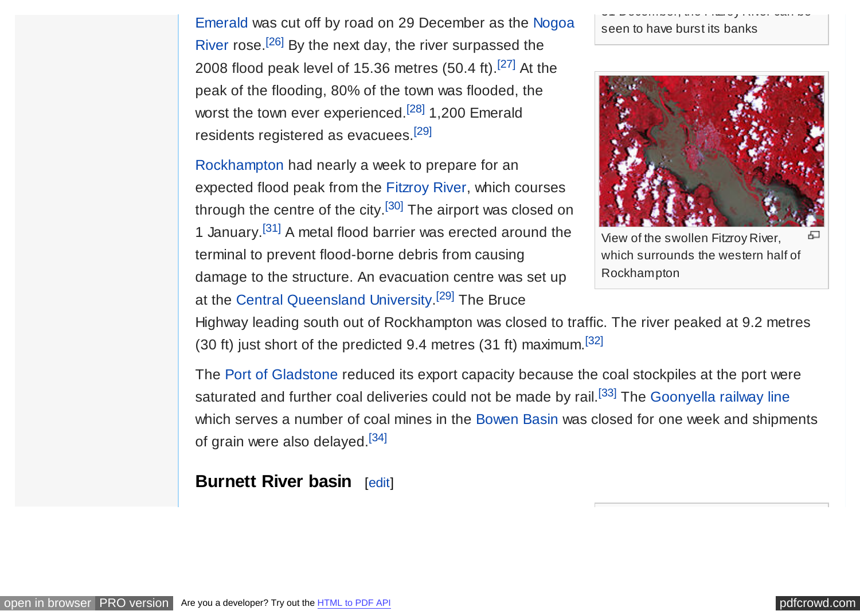<span id="page-5-0"></span>[Emerald was cut off by road on 29 December as the Nogoa](https://en.wikipedia.org/wiki/Nogoa_River) River rose.<sup>[\[26\]](#page-20-0)</sup> By the next day, the river surpassed the 2008 flood peak level of 15.36 metres (50.4 ft).[\[27\]](#page-20-0) At the peak of the flooding, 80% of the town was flooded, the worst the town ever experienced.<sup>[\[28\]](#page-20-0)</sup> 1,200 Emerald residents registered as evacuees.[\[29\]](#page-21-0)

[Rockhampton](https://en.wikipedia.org/wiki/Rockhampton) had nearly a week to prepare for an expected flood peak from the [Fitzroy River,](https://en.wikipedia.org/wiki/Fitzroy_River_(Queensland)) which courses through the centre of the city.<sup>[\[30\]](#page-21-0)</sup> The airport was closed on 1 January.[\[31\]](#page-21-0) A metal flood barrier was erected around the terminal to prevent flood-borne debris from causing damage to the structure. An evacuation centre was set up at the [Central Queensland University.](https://en.wikipedia.org/wiki/Central_Queensland_University)<sup>[\[29\]](#page-21-0)</sup> The Bruce

31 December; the Fitzroy River can be seen to have burst its banks



View of the swollen Fitzroy River, Æ which surrounds the western half of Rockhampton

Highway leading south out of Rockhampton was closed to traffic. The river peaked at 9.2 metres (30 ft) just short of the predicted 9.4 metres (31 ft) maximum.  $[32]$ 

The [Port of Gladstone](https://en.wikipedia.org/wiki/Port_of_Gladstone) reduced its export capacity because the coal stockpiles at the port were saturated and further coal deliveries could not be made by rail.<sup>[\[33\]](#page-21-0)</sup> The [Goonyella railway line](https://en.wikipedia.org/wiki/Goonyella_railway_line) which serves a number of coal mines in the [Bowen Basin](https://en.wikipedia.org/wiki/Bowen_Basin) was closed for one week and shipments of grain were also delayed.[\[34\]](#page-21-0)

**Burnett River basin** [[edit\]](https://en.wikipedia.org/w/index.php?title=2010%E2%80%9311_Queensland_floods&action=edit§ion=4)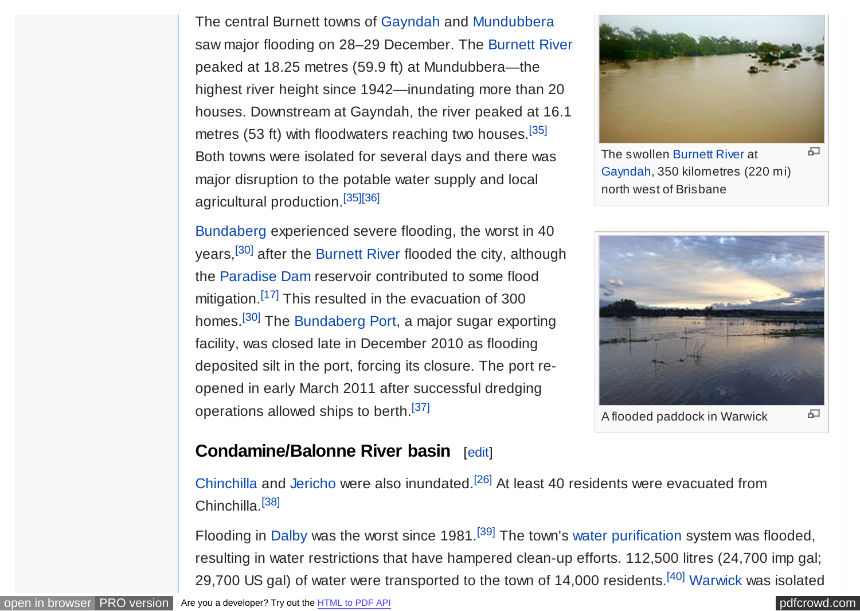<span id="page-6-0"></span>The central Burnett towns of [Gayndah](https://en.wikipedia.org/wiki/Gayndah) and [Mundubbera](https://en.wikipedia.org/wiki/Mundubbera) saw major flooding on 28–29 December. The [Burnett River](https://en.wikipedia.org/wiki/Burnett_River) peaked at 18.25 metres (59.9 ft) at Mundubbera—the highest river height since 1942—inundating more than 20 houses. Downstream at Gayndah, the river peaked at 16.1 metres (53 ft) with floodwaters reaching two houses.<sup>[\[35\]](#page-21-0)</sup> Both towns were isolated for several days and there was major disruption to the potable water supply and local agricultural production.[\[35\]\[36\]](#page-21-0)

[Bundaberg](https://en.wikipedia.org/wiki/Bundaberg) experienced severe flooding, the worst in 40 years,<sup>[\[30\]](#page-21-0)</sup> after the [Burnett River](https://en.wikipedia.org/wiki/Burnett_River) flooded the city, although the [Paradise Dam](https://en.wikipedia.org/wiki/Paradise_Dam_(Queensland)) reservoir contributed to some flood mitigation.<sup>[\[17\]](#page-20-0)</sup> This resulted in the evacuation of 300 homes.[\[30\]](#page-21-0) The [Bundaberg Port,](https://en.wikipedia.org/wiki/Bundaberg_Port) a major sugar exporting facility, was closed late in December 2010 as flooding deposited silt in the port, forcing its closure. The port reopened in early March 2011 after successful dredging operations allowed ships to berth.[\[37\]](#page-21-0)

## **Condamine/Balonne River basin** [[edit\]](https://en.wikipedia.org/w/index.php?title=2010%E2%80%9311_Queensland_floods&action=edit§ion=5)

[Chinchilla](https://en.wikipedia.org/wiki/Chinchilla,_Queensland) and [Jericho](https://en.wikipedia.org/wiki/Jericho,_Queensland) were also inundated.[\[26\]](#page-20-0) At least 40 residents were evacuated from Chinchilla<sup>[\[38\]](#page-21-0)</sup>

Flooding in [Dalby](https://en.wikipedia.org/wiki/Dalby,_Queensland) was the worst since 1981.<sup>[\[39\]](#page-21-0)</sup> The town's [water purification](https://en.wikipedia.org/wiki/Water_purification) system was flooded, resulting in water restrictions that have hampered clean-up efforts. 112,500 litres (24,700 imp gal; 29,700 US gal) of water were transported to the town of 14,000 residents.<sup>[\[40\]](#page-21-0)</sup> [Warwick](https://en.wikipedia.org/wiki/Warwick,_Queensland) was isolated

The swollen [Burnett River](https://en.wikipedia.org/wiki/Burnett_River) at ക [Gayndah,](https://en.wikipedia.org/wiki/Gayndah) 350 kilometres (220 mi) north west of Brisbane



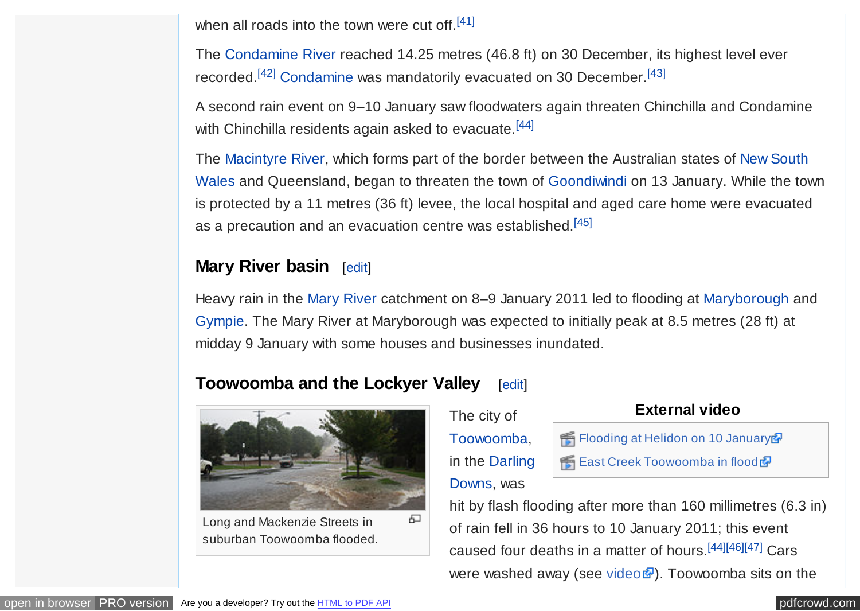<span id="page-7-0"></span>when all roads into the town were cut off. $[41]$ 

The [Condamine River](https://en.wikipedia.org/wiki/Condamine_River) reached 14.25 metres (46.8 ft) on 30 December, its highest level ever recorded.[\[42\]](#page-21-0) [Condamine](https://en.wikipedia.org/wiki/Condamine,_Queensland) was mandatorily evacuated on 30 December.[\[43\]](#page-22-0)

A second rain event on 9–10 January saw floodwaters again threaten Chinchilla and Condamine with Chinchilla residents again asked to evacuate.<sup>[\[44\]](#page-22-0)</sup>

The [Macintyre River,](https://en.wikipedia.org/wiki/Macintyre_River) which forms part of the border between the Australian states of New South [Wales and Queensland, began to threaten the town of](https://en.wikipedia.org/wiki/New_South_Wales) [Goondiwindi](https://en.wikipedia.org/wiki/Goondiwindi) [on 13 January. While the tow](https://en.wikipedia.org/wiki/New_South_Wales)n is protected by a 11 metres (36 ft) levee, the local hospital and aged care home were evacuated as a precaution and an evacuation centre was established.<sup>[\[45\]](#page-22-0)</sup>

## **Mary River basin** [[edit\]](https://en.wikipedia.org/w/index.php?title=2010%E2%80%9311_Queensland_floods&action=edit§ion=6)

Heavy rain in the [Mary River](https://en.wikipedia.org/wiki/Mary_River_(Queensland)) catchment on 8–9 January 2011 led to flooding at [Maryborough](https://en.wikipedia.org/wiki/Maryborough,_Queensland) and [Gympie.](https://en.wikipedia.org/wiki/Gympie) The Mary River at Maryborough was expected to initially peak at 8.5 metres (28 ft) at midday 9 January with some houses and businesses inundated.

## **Toowoomba and the Lockyer Valley [[edit\]](https://en.wikipedia.org/w/index.php?title=2010%E2%80%9311_Queensland_floods&action=edit§ion=7)**



Long and Mackenzie Streets in suburban Toowoomba flooded.

## The city of [Toowoomba,](https://en.wikipedia.org/wiki/Toowoomba) [in the Darling](https://en.wikipedia.org/wiki/Darling_Downs)

#### **External video**

Fig. [Flooding at Helidon on 10 January](https://www.youtube.com/watch?v=cuC0pbOE8lU) P **H** [East Creek Toowoomba in flood](https://www.youtube.com/watch?v=kYUpkPTcqPY)

## Downs, was

hit by flash flooding after more than 160 millimetres (6.3 in) of rain fell in 36 hours to 10 January 2011; this event caused four deaths in a matter of hours.[\[44\]\[46\]\[47\]](#page-22-0) Cars were washed away (see [video](http://www.theaustralian.com.au/news/breaking-news/desperate-and-grim-situation-facing-qld-premier-anna-bligh-warns/story-fn7il3q4-1225985275828)  $\mathbb{F}$ ). Toowoomba sits on the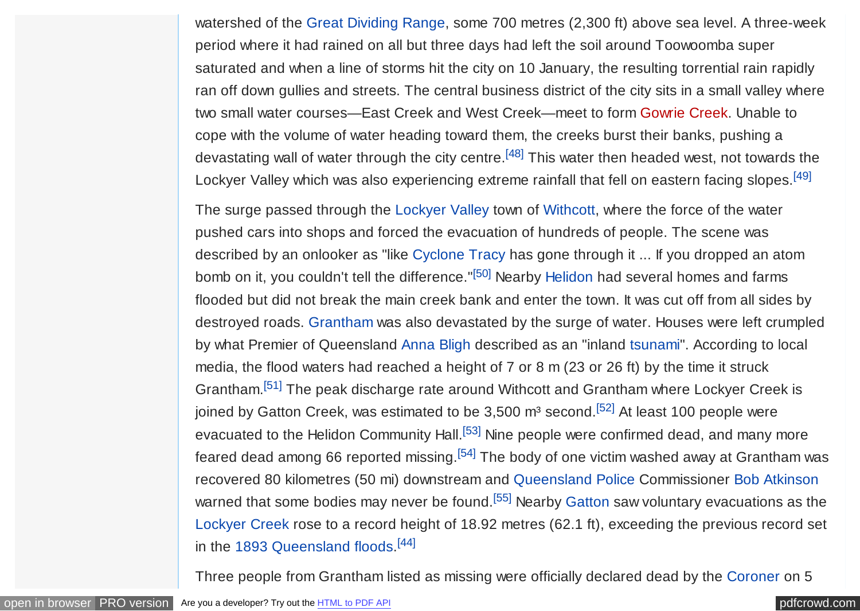<span id="page-8-0"></span>watershed of the [Great Dividing Range,](https://en.wikipedia.org/wiki/Great_Dividing_Range) some 700 metres (2,300 ft) above sea level. A three-week period where it had rained on all but three days had left the soil around Toowoomba super saturated and when a line of storms hit the city on 10 January, the resulting torrential rain rapidly ran off down gullies and streets. The central business district of the city sits in a small valley where two small water courses—East Creek and West Creek—meet to form [Gowrie Creek.](https://en.wikipedia.org/w/index.php?title=Gowrie_Creek&action=edit&redlink=1) Unable to cope with the volume of water heading toward them, the creeks burst their banks, pushing a devastating wall of water through the city centre.<sup>[\[48\]](#page-22-0)</sup> This water then headed west, not towards the Lockyer Valley which was also experiencing extreme rainfall that fell on eastern facing slopes.<sup>[\[49\]](#page-22-0)</sup>

The surge passed through the [Lockyer Valley](https://en.wikipedia.org/wiki/Lockyer_Valley) town of [Withcott,](https://en.wikipedia.org/wiki/Withcott) where the force of the water pushed cars into shops and forced the evacuation of hundreds of people. The scene was described by an onlooker as "like [Cyclone Tracy](https://en.wikipedia.org/wiki/Cyclone_Tracy) has gone through it ... If you dropped an atom bomb on it, you couldn't tell the difference."<sup>[\[50\]](#page-22-0)</sup> Nearby [Helidon](https://en.wikipedia.org/wiki/Helidon,_Queensland) had several homes and farms flooded but did not break the main creek bank and enter the town. It was cut off from all sides by destroyed roads. [Grantham](https://en.wikipedia.org/wiki/Grantham,_Queensland) was also devastated by the surge of water. Houses were left crumpled by what Premier of Queensland [Anna Bligh](https://en.wikipedia.org/wiki/Anna_Bligh) described as an "inland [tsunami"](https://en.wikipedia.org/wiki/Tsunami). According to local media, the flood waters had reached a height of 7 or 8 m (23 or 26 ft) by the time it struck Grantham.[\[51\]](#page-22-0) The peak discharge rate around Withcott and Grantham where Lockyer Creek is joined by Gatton Creek, was estimated to be 3,500  $m<sup>3</sup>$  second.<sup>[\[52\]](#page-22-0)</sup> At least 100 people were evacuated to the Helidon Community Hall.<sup>[\[53\]](#page-22-0)</sup> Nine people were confirmed dead, and many more feared dead among 66 reported missing.<sup>[\[54\]](#page-22-0)</sup> The body of one victim washed away at Grantham was recovered 80 kilometres (50 mi) downstream and [Queensland Police](https://en.wikipedia.org/wiki/Queensland_Police) Commissioner [Bob Atkinson](https://en.wikipedia.org/wiki/Bob_Atkinson) warned that some bodies may never be found.<sup>[\[55\]](#page-22-0)</sup> Nearby [Gatton](https://en.wikipedia.org/wiki/Gatton,_Queensland) saw voluntary evacuations as the [Lockyer Creek](https://en.wikipedia.org/wiki/Lockyer_Creek) rose to a record height of 18.92 metres (62.1 ft), exceeding the previous record set in the [1893 Queensland floods.](https://en.wikipedia.org/wiki/1893_Queensland_floods)<sup>[\[44\]](#page-22-0)</sup>

Three people from Grantham listed as missing were officially declared dead by the [Coroner](https://en.wikipedia.org/wiki/Coroners_Court_of_Queensland) on 5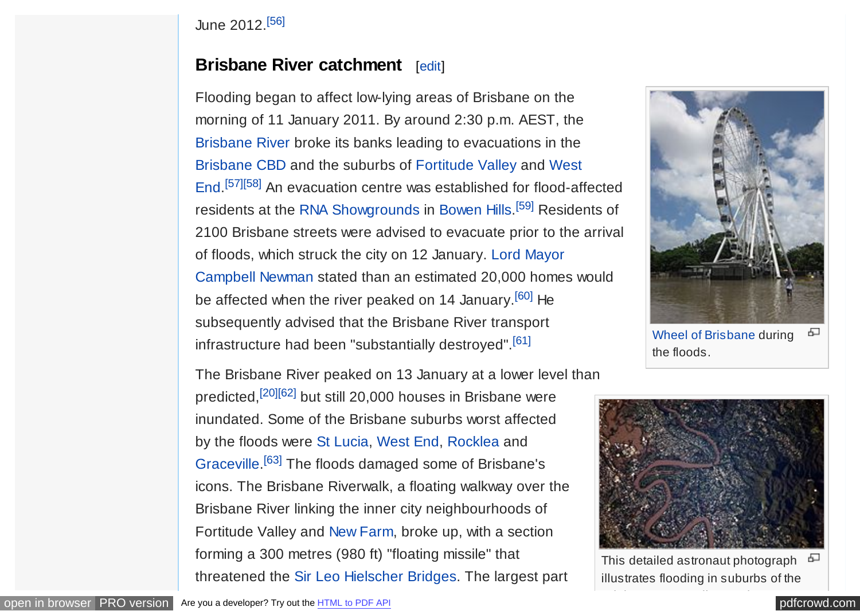#### <span id="page-9-0"></span>June 2012.[\[56\]](#page-23-0)

## **Brisbane River catchment** [[edit\]](https://en.wikipedia.org/w/index.php?title=2010%E2%80%9311_Queensland_floods&action=edit§ion=8)

Flooding began to affect low-lying areas of Brisbane on the morning of 11 January 2011. By around 2:30 p.m. AEST, the [Brisbane River](https://en.wikipedia.org/wiki/Brisbane_River) broke its banks leading to evacuations in the [Brisbane CBD and the suburbs of Fortitude Valley and West](https://en.wikipedia.org/wiki/West_End,_Queensland) End. [\[57\]\[58\]](#page-23-0) An evacuation centre was established for flood-affected residents at the [RNA Showgrounds](https://en.wikipedia.org/wiki/Brisbane_Exhibition_Ground) in [Bowen Hills.](https://en.wikipedia.org/wiki/Bowen_Hills,_Queensland)<sup>[\[59\]](#page-23-0)</sup> Residents of 2100 Brisbane streets were advised to evacuate prior to the arrival of floods, which struck the city on 12 January. [Lord Mayor](https://en.wikipedia.org/wiki/Lord_Mayor) [Campbell Newman](https://en.wikipedia.org/wiki/Campbell_Newman) stated than an estimated 20,000 homes would be affected when the river peaked on 14 January.<sup>[\[60\]](#page-23-0)</sup> He subsequently advised that the Brisbane River transport infrastructure had been "substantially destroyed".<sup>[\[61\]](#page-23-0)</sup>

The Brisbane River peaked on 13 January at a lower level than predicted,[\[20\]](#page-20-0)[\[62\]](#page-23-0) but still 20,000 houses in Brisbane were inundated. Some of the Brisbane suburbs worst affected by the floods were [St Lucia,](https://en.wikipedia.org/wiki/St_Lucia,_Queensland) [West End,](https://en.wikipedia.org/wiki/West_End,_Queensland) [Rocklea](https://en.wikipedia.org/wiki/Rocklea,_Queensland) and [Graceville.](https://en.wikipedia.org/wiki/Graceville,_Queensland)<sup>[\[63\]](#page-23-0)</sup> The floods damaged some of Brisbane's icons. The Brisbane Riverwalk, a floating walkway over the Brisbane River linking the inner city neighbourhoods of Fortitude Valley and [New Farm,](https://en.wikipedia.org/wiki/New_Farm,_Queensland) broke up, with a section forming a 300 metres (980 ft) "floating missile" that threatened the [Sir Leo Hielscher Bridges.](https://en.wikipedia.org/wiki/Sir_Leo_Hielscher_Bridges) The largest part



[Wheel of Brisbane](https://en.wikipedia.org/wiki/Wheel_of_Brisbane) during ക the floods.



모 This detailed astronaut photograph illustrates flooding in suburbs of the

Brisbane metropolitan region.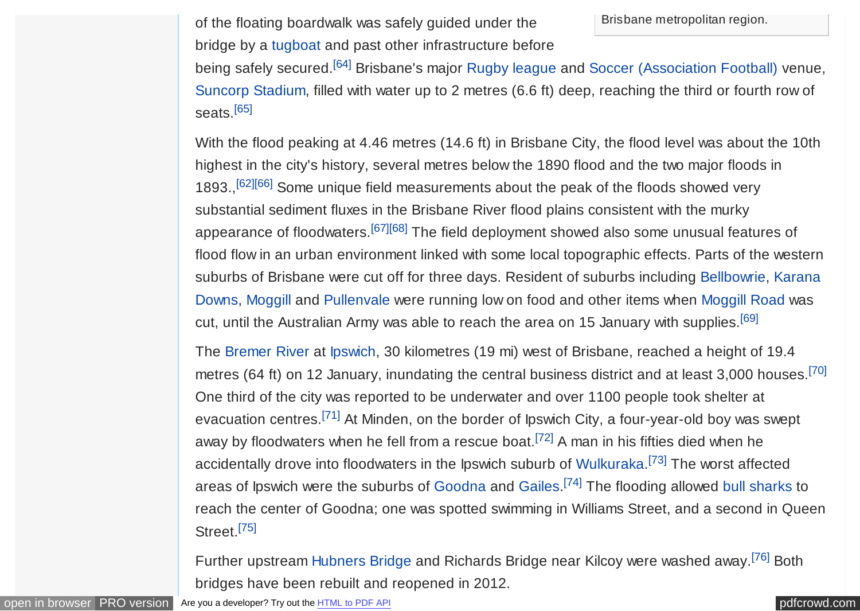<span id="page-10-0"></span>of the floating boardwalk was safely guided under the **Fig. 1** Brisbane metropolitan region. bridge by a [tugboat](https://en.wikipedia.org/wiki/Tugboat) and past other infrastructure before

being safely secured.<sup>[\[64\]](#page-23-0)</sup> Brisbane's major [Rugby league](https://en.wikipedia.org/wiki/Rugby_league) and [Soccer \(Association Football\)](https://en.wikipedia.org/wiki/Association_Football) venue, [Suncorp Stadium,](https://en.wikipedia.org/wiki/Suncorp_Stadium) filled with water up to 2 metres (6.6 ft) deep, reaching the third or fourth row of seats.<sup>[\[65\]](#page-23-0)</sup>

With the flood peaking at 4.46 metres (14.6 ft) in Brisbane City, the flood level was about the 10th highest in the city's history, several metres below the 1890 flood and the two major floods in 1893.,<sup>[\[62\]\[66\]](#page-23-0)</sup> Some unique field measurements about the peak of the floods showed very substantial sediment fluxes in the Brisbane River flood plains consistent with the murky appearance of floodwaters.<sup>[\[67\]](#page-23-0)[\[68\]](#page-24-0)</sup> The field deployment showed also some unusual features of flood flow in an urban environment linked with some local topographic effects. Parts of the western [suburbs of Brisbane were cut off for three days. Resident of suburbs including Bellbowrie, Karana](https://en.wikipedia.org/wiki/Karana_Downs) Downs, [Moggill](https://en.wikipedia.org/wiki/Moggill) and [Pullenvale](https://en.wikipedia.org/wiki/Pullenvale) were running low on food and other items when [Moggill Road](https://en.wikipedia.org/wiki/Moggill_Road) was cut, until the Australian Army was able to reach the area on 15 January with supplies.<sup>[\[69\]](#page-24-0)</sup>

The [Bremer River](https://en.wikipedia.org/wiki/Bremer_River_(Queensland)) at [Ipswich,](https://en.wikipedia.org/wiki/Ipswich,_Queensland) 30 kilometres (19 mi) west of Brisbane, reached a height of 19.4 metres (64 ft) on 12 January, inundating the central business district and at least 3,000 houses.<sup>[\[70\]](#page-24-0)</sup> One third of the city was reported to be underwater and over 1100 people took shelter at evacuation centres.[\[71\]](#page-24-0) At Minden, on the border of Ipswich City, a four-year-old boy was swept away by floodwaters when he fell from a rescue boat.[\[72\]](#page-24-0) A man in his fifties died when he accidentally drove into floodwaters in the Ipswich suburb of [Wulkuraka.](https://en.wikipedia.org/wiki/Wulkuraka,_Queensland)<sup>[\[73\]](#page-24-0)</sup> The worst affected areas of Ipswich were the suburbs of [Goodna](https://en.wikipedia.org/wiki/Goodna,_Queensland) and [Gailes.](https://en.wikipedia.org/wiki/Gailes,_Queensland)<sup>[\[74\]](#page-24-0)</sup> The flooding allowed [bull sharks](https://en.wikipedia.org/wiki/Bull_shark) to reach the center of Goodna; one was spotted swimming in Williams Street, and a second in Queen Street.<sup>[\[75\]](#page-24-0)</sup>

Further upstream [Hubners Bridge](https://en.wikipedia.org/wiki/Hubners_Bridge) and Richards Bridge near Kilcoy were washed away.[\[76\]](#page-24-0) Both bridges have been rebuilt and reopened in 2012.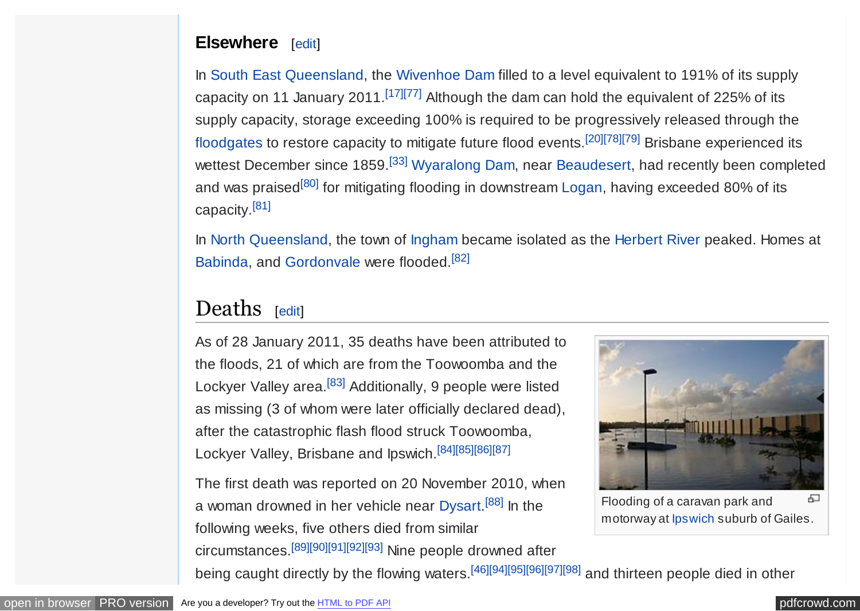## <span id="page-11-0"></span>**Elsewhere** [[edit\]](https://en.wikipedia.org/w/index.php?title=2010%E2%80%9311_Queensland_floods&action=edit§ion=9)

In [South East Queensland,](https://en.wikipedia.org/wiki/South_East_Queensland) the [Wivenhoe Dam](https://en.wikipedia.org/wiki/Wivenhoe_Dam) filled to a level equivalent to 191% of its supply capacity on 11 January 2011.<sup>[\[17\]](#page-20-0)[\[77\]](#page-24-0)</sup> Although the dam can hold the equivalent of 225% of its supply capacity, storage exceeding 100% is required to be progressively released through the [floodgates](https://en.wikipedia.org/wiki/Floodgates) to restore capacity to mitigate future flood events.[\[20\]](#page-20-0)[\[78\]\[79\]](#page-24-0) Brisbane experienced its wettest December since 1859.<sup>[\[33\]](#page-21-0)</sup> [Wyaralong Dam,](https://en.wikipedia.org/wiki/Wyaralong_Dam) near [Beaudesert,](https://en.wikipedia.org/wiki/Beaudesert,_Queensland) had recently been completed and was praised<sup>[\[80\]](#page-24-0)</sup> for mitigating flooding in downstream [Logan,](https://en.wikipedia.org/wiki/Logan_City,_Queensland) having exceeded 80% of its capacity.[\[81\]](#page-25-0)

In [North Queensland,](https://en.wikipedia.org/wiki/North_Queensland) the town of [Ingham](https://en.wikipedia.org/wiki/Ingham,_Queensland) became isolated as the [Herbert River](https://en.wikipedia.org/wiki/Herbert_River) peaked. Homes at [Babinda,](https://en.wikipedia.org/wiki/Babinda,_Queensland) and [Gordonvale](https://en.wikipedia.org/wiki/Gordonvale,_Queensland) were flooded.[\[82\]](#page-25-0)

## Deaths [[edit\]](https://en.wikipedia.org/w/index.php?title=2010%E2%80%9311_Queensland_floods&action=edit§ion=10)

As of 28 January 2011, 35 deaths have been attributed to the floods, 21 of which are from the Toowoomba and the Lockyer Valley area.<sup>[\[83\]](#page-25-0)</sup> Additionally, 9 people were listed as missing (3 of whom were later officially declared dead), after the catastrophic flash flood struck Toowoomba, Lockyer Valley, Brisbane and Ipswich.[\[84\]\[85\]\[86\]\[87\]](#page-25-0)

The first death was reported on 20 November 2010, when a woman drowned in her vehicle near [Dysart.](https://en.wikipedia.org/wiki/Dysart,_Queensland)<sup>[\[88\]](#page-25-0)</sup> In the following weeks, five others died from similar circumstances.[\[89\]\[90\]\[91\]\[92\]\[93\]](#page-25-0) Nine people drowned after



Flooding of a caravan park and ക motorway at [Ipswich](https://en.wikipedia.org/wiki/Ipswich,_Queensland) suburb of Gailes.

being caught directly by the flowing waters.<sup>[\[46\]](#page-22-0)[\[94\]\[95\]\[96\]\[97\]\[98\]](#page-26-0)</sup> and thirteen people died in other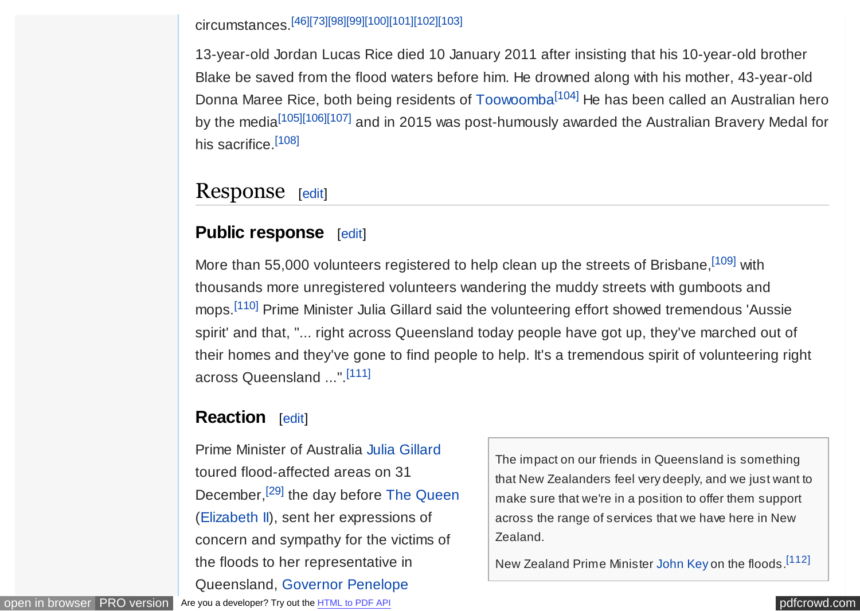<span id="page-12-0"></span>circumstances.[\[46\]](#page-22-0)[\[73\]](#page-24-0)[\[98\]\[99\]\[100\]\[101\]\[102\]\[103\]](#page-26-0)

13-year-old Jordan Lucas Rice died 10 January 2011 after insisting that his 10-year-old brother Blake be saved from the flood waters before him. He drowned along with his mother, 43-year-old Donna Maree Rice, both being residents of [Toowoomba](https://en.wikipedia.org/wiki/Toowoomba)<sup>[\[104\]](#page-26-0)</sup> He has been called an Australian hero by the media<sup>[\[105\]\[106\]](#page-26-0)[\[107\]](#page-27-0)</sup> and in 2015 was post-humously awarded the Australian Bravery Medal for his sacrifice.<sup>[\[108\]](#page-27-0)</sup>

## Response [[edit\]](https://en.wikipedia.org/w/index.php?title=2010%E2%80%9311_Queensland_floods&action=edit§ion=11)

## **Public response** [[edit\]](https://en.wikipedia.org/w/index.php?title=2010%E2%80%9311_Queensland_floods&action=edit§ion=12)

More than 55,000 volunteers registered to help clean up the streets of Brisbane, [\[109\]](#page-27-0) with thousands more unregistered volunteers wandering the muddy streets with gumboots and mops.<sup>[\[110\]](#page-27-0)</sup> Prime Minister Julia Gillard said the volunteering effort showed tremendous 'Aussie spirit' and that, "... right across Queensland today people have got up, they've marched out of their homes and they've gone to find people to help. It's a tremendous spirit of volunteering right across Queensland ...".[\[111\]](#page-27-0)

## **Reaction** [[edit\]](https://en.wikipedia.org/w/index.php?title=2010%E2%80%9311_Queensland_floods&action=edit§ion=13)

Prime Minister of Australia [Julia Gillard](https://en.wikipedia.org/wiki/Julia_Gillard) toured flood-affected areas on 31 December,<sup>[\[29\]](#page-21-0)</sup> the day before The Oueen ([Elizabeth II\)](https://en.wikipedia.org/wiki/Elizabeth_II), sent her expressions of concern and sympathy for the victims of the floods to her representative in [Queensland, Governor](https://en.wikipedia.org/wiki/Penelope_Wensley) Penelope

The impact on our friends in Queensland is something that New Zealanders feel very deeply, and we just want to make sure that we're in a position to offer them support across the range of services that we have here in New Zealand.

New Zealand Prime Minister [John Key](https://en.wikipedia.org/wiki/John_Key) on the floods.[\[112\]](#page-27-0)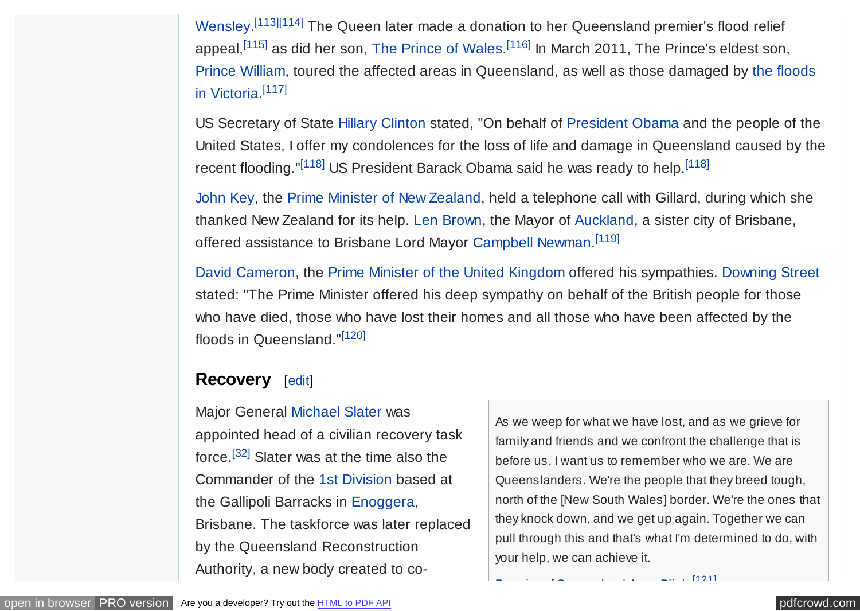<span id="page-13-0"></span>Wensley.<sup>[\[113\]\[114\]](#page-27-0)</sup> [The Queen later](https://en.wikipedia.org/wiki/Penelope_Wensley) made a donation to her Queensland premier's flood relief appeal,<sup>[\[115\]](#page-27-0)</sup> as did her son, [The Prince of Wales.](https://en.wikipedia.org/wiki/Charles,_Prince_of_Wales)<sup>[\[116\]](#page-27-0)</sup> In March 2011, The Prince's eldest son, [Prince William, toured the affected areas in Queensland, as well as those damaged by the floods](https://en.wikipedia.org/wiki/2011_Victorian_floods) in Victoria. [\[117\]](#page-27-0)

US Secretary of State [Hillary Clinton](https://en.wikipedia.org/wiki/Hillary_Clinton) stated, "On behalf of [President Obama](https://en.wikipedia.org/wiki/Barack_Obama) and the people of the United States, I offer my condolences for the loss of life and damage in Queensland caused by the recent flooding." $[118]$  US President Barack Obama said he was ready to help.  $[118]$ 

[John Key,](https://en.wikipedia.org/wiki/John_Key) the [Prime Minister of New Zealand,](https://en.wikipedia.org/wiki/Prime_Minister_of_New_Zealand) held a telephone call with Gillard, during which she thanked New Zealand for its help. [Len Brown,](https://en.wikipedia.org/wiki/Len_Brown) the Mayor of [Auckland,](https://en.wikipedia.org/wiki/Auckland) a sister city of Brisbane, offered assistance to Brisbane Lord Mayor [Campbell Newman.](https://en.wikipedia.org/wiki/Campbell_Newman)<sup>[\[119\]](#page-27-0)</sup>

[David Cameron,](https://en.wikipedia.org/wiki/David_Cameron) the [Prime Minister of the United Kingdom](https://en.wikipedia.org/wiki/Prime_Minister_of_the_United_Kingdom) offered his sympathies. [Downing Street](https://en.wikipedia.org/wiki/Downing_Street) stated: "The Prime Minister offered his deep sympathy on behalf of the British people for those who have died, those who have lost their homes and all those who have been affected by the floods in Queensland."[\[120\]](#page-27-0)

### **Recovery** [[edit\]](https://en.wikipedia.org/w/index.php?title=2010%E2%80%9311_Queensland_floods&action=edit§ion=14)

Major General [Michael Slater](https://en.wikipedia.org/wiki/Michael_Slater_(general)) was appointed head of a civilian recovery task force.[\[32\]](#page-21-0) Slater was at the time also the Commander of the [1st Division](https://en.wikipedia.org/wiki/1st_Division_(Australia)) based at the Gallipoli Barracks in [Enoggera,](https://en.wikipedia.org/wiki/Enoggera,_Queensland) Brisbane. The taskforce was later replaced by the Queensland Reconstruction Authority, a new body created to co-

As we weep for what we have lost, and as we grieve for family and friends and we confront the challenge that is before us, I want us to remember who we are. We are Queenslanders. We're the people that they breed tough, north of the [New South Wales] border. We're the ones that they knock down, and we get up again. Together we can pull through this and that's what I'm determined to do, with your help, we can achieve it.

[\[121\]](#page-28-0)

[Premier of Queensland](https://en.wikipedia.org/wiki/Premier_of_Queensland) [Anna Bligh.](https://en.wikipedia.org/wiki/Anna_Bligh)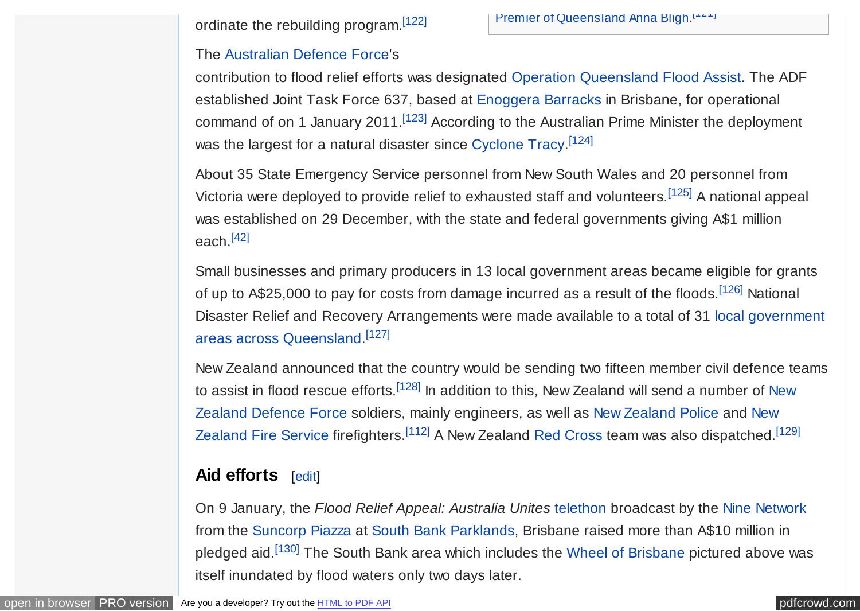<span id="page-14-0"></span>ordinate the rebuilding program.<sup>[\[122\]](#page-28-0)</sup>

#### The [Australian Defence Force'](https://en.wikipedia.org/wiki/Australian_Defence_Force)s

contribution to flood relief efforts was designated [Operation Queensland Flood Assist.](https://en.wikipedia.org/wiki/Operation_Queensland_Flood_Assist) The ADF established Joint Task Force 637, based at [Enoggera Barracks](https://en.wikipedia.org/wiki/Enoggera_Barracks) in Brisbane, for operational command of on 1 January 2011.<sup>[\[123\]](#page-28-0)</sup> According to the Australian Prime Minister the deployment was the largest for a natural disaster since [Cyclone Tracy.](https://en.wikipedia.org/wiki/Cyclone_Tracy)<sup>[\[124\]](#page-28-0)</sup>

About 35 State Emergency Service personnel from New South Wales and 20 personnel from Victoria were deployed to provide relief to exhausted staff and volunteers.[\[125\]](#page-28-0) A national appeal was established on 29 December, with the state and federal governments giving A\$1 million each.[\[42\]](#page-21-0)

Small businesses and primary producers in 13 local government areas became eligible for grants of up to A\$25,000 to pay for costs from damage incurred as a result of the floods.<sup>[\[126\]](#page-28-0)</sup> National [Disaster Relief and Recovery Arrangements were made available to a total of 31 local government](https://en.wikipedia.org/wiki/Local_government_areas_of_Queensland) areas across Queensland. [\[127\]](#page-28-0)

New Zealand announced that the country would be sending two fifteen member civil defence teams to assist in flood rescue efforts.<sup>[\[128\]](#page-28-0)</sup> In addition to this, New Zealand will send a number of New [Zealand Defence Force soldiers, mainly engineers, as well as New Zealand Police and Ne](https://en.wikipedia.org/wiki/New_Zealand_Fire_Service)[w](https://en.wikipedia.org/wiki/New_Zealand_Defence_Force) Zealand Fire Service firefighters.<sup>[\[112\]](#page-27-0)</sup> A New Zealand [Red Cross](https://en.wikipedia.org/wiki/Red_Cross) team was also dispatched.<sup>[\[129\]](#page-28-0)</sup>

## **Aid efforts** [[edit\]](https://en.wikipedia.org/w/index.php?title=2010%E2%80%9311_Queensland_floods&action=edit§ion=15)

On 9 January, the *Flood Relief Appeal: Australia Unites* [telethon](https://en.wikipedia.org/wiki/Telethon) broadcast by the [Nine Network](https://en.wikipedia.org/wiki/Nine_Network) from the [Suncorp Piazza](https://en.wikipedia.org/wiki/Suncorp_Piazza) at [South Bank Parklands,](https://en.wikipedia.org/wiki/South_Bank_Parklands) Brisbane raised more than A\$10 million in pledged aid.<sup>[\[130\]](#page-28-0)</sup> The South Bank area which includes the [Wheel of Brisbane](https://en.wikipedia.org/wiki/Wheel_of_Brisbane) pictured above was itself inundated by flood waters only two days later.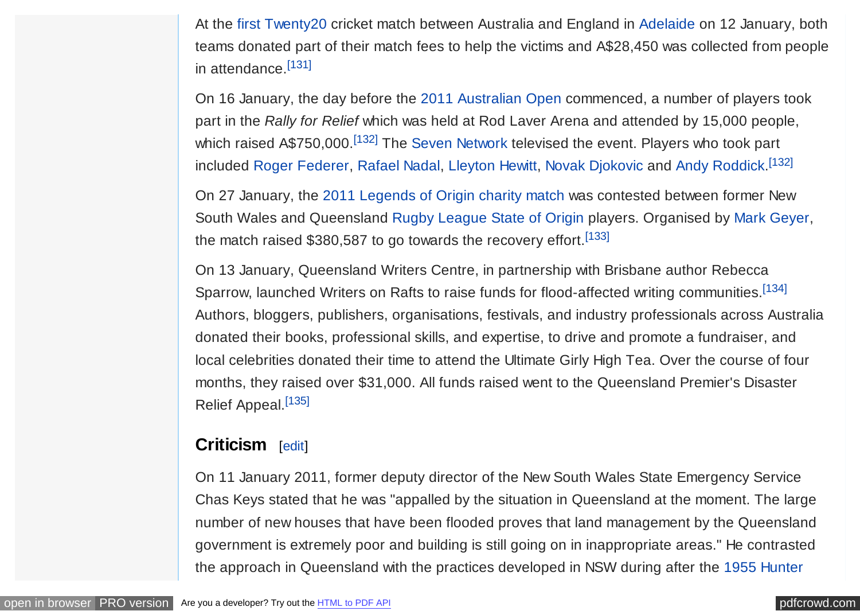<span id="page-15-0"></span>At the [first Twenty20](https://en.wikipedia.org/wiki/English_cricket_team_in_Australia_in_2010%E2%80%9311#1st_T20I) cricket match between Australia and England in [Adelaide](https://en.wikipedia.org/wiki/Adelaide) on 12 January, both teams donated part of their match fees to help the victims and A\$28,450 was collected from people in attendance.<sup>[\[131\]](#page-28-0)</sup>

On 16 January, the day before the [2011 Australian Open](https://en.wikipedia.org/wiki/2011_Australian_Open) commenced, a number of players took part in the *Rally for Relief* which was held at Rod Laver Arena and attended by 15,000 people, which raised A\$750,000.<sup>[\[132\]](#page-28-0)</sup> The [Seven Network](https://en.wikipedia.org/wiki/Seven_Network) televised the event. Players who took part included [Roger Federer,](https://en.wikipedia.org/wiki/Roger_Federer) [Rafael Nadal,](https://en.wikipedia.org/wiki/Rafael_Nadal) [Lleyton Hewitt,](https://en.wikipedia.org/wiki/Lleyton_Hewitt) [Novak Djokovic](https://en.wikipedia.org/wiki/Novak_Djokovic) and [Andy Roddick.](https://en.wikipedia.org/wiki/Andy_Roddick)<sup>[\[132\]](#page-28-0)</sup>

On 27 January, the [2011 Legends of Origin charity match](https://en.wikipedia.org/wiki/2011_Legends_of_Origin_charity_match) was contested between former New South Wales and Queensland [Rugby League State of Origin](https://en.wikipedia.org/wiki/Rugby_League_State_of_Origin) players. Organised by [Mark Geyer,](https://en.wikipedia.org/wiki/Mark_Geyer) the match raised \$380,587 to go towards the recovery effort.  $[133]$ 

On 13 January, Queensland Writers Centre, in partnership with Brisbane author Rebecca Sparrow, launched Writers on Rafts to raise funds for flood-affected writing communities.<sup>[\[134\]](#page-28-0)</sup> Authors, bloggers, publishers, organisations, festivals, and industry professionals across Australia donated their books, professional skills, and expertise, to drive and promote a fundraiser, and local celebrities donated their time to attend the Ultimate Girly High Tea. Over the course of four months, they raised over \$31,000. All funds raised went to the Queensland Premier's Disaster Relief Appeal.<sup>[\[135\]](#page-29-0)</sup>

## **Criticism** [[edit\]](https://en.wikipedia.org/w/index.php?title=2010%E2%80%9311_Queensland_floods&action=edit§ion=16)

On 11 January 2011, former deputy director of the New South Wales State Emergency Service Chas Keys stated that he was "appalled by the situation in Queensland at the moment. The large number of new houses that have been flooded proves that land management by the Queensland government is extremely poor and building is still going on in inappropriate areas." He contrasted [the approach in Queensland with the practices developed in NSW during after the 1955 Hunter](https://en.wikipedia.org/wiki/1955_Hunter_Valley_floods)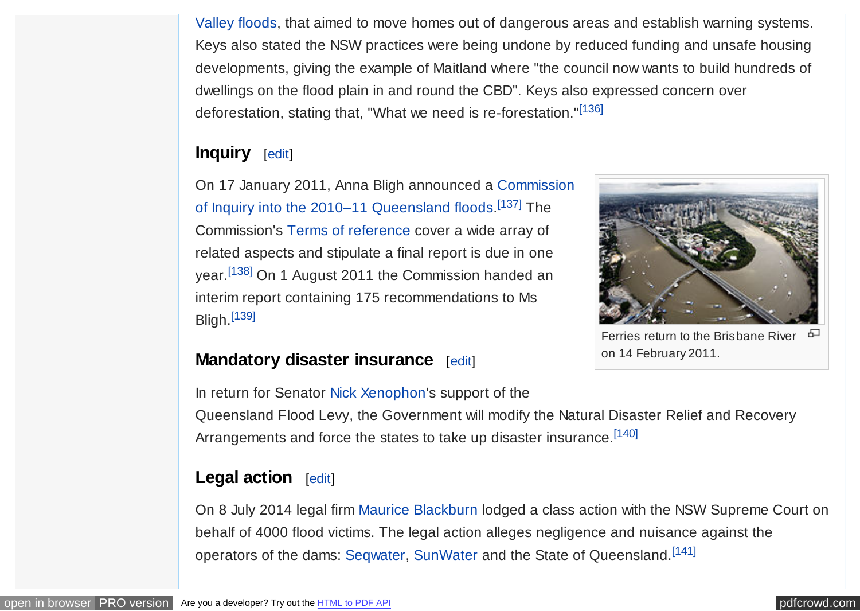<span id="page-16-0"></span>[Valley floods, that aimed to move homes out of dangerous areas and establish warning systems](https://en.wikipedia.org/wiki/1955_Hunter_Valley_floods). Keys also stated the NSW practices were being undone by reduced funding and unsafe housing developments, giving the example of Maitland where "the council now wants to build hundreds of dwellings on the flood plain in and round the CBD". Keys also expressed concern over deforestation, stating that, "What we need is re-forestation."[\[136\]](#page-29-0)

## **Inquiry** [[edit\]](https://en.wikipedia.org/w/index.php?title=2010%E2%80%9311_Queensland_floods&action=edit§ion=17)

[On 17 January 2011, Anna Bligh announced a Commission](https://en.wikipedia.org/wiki/Commission_of_Inquiry_into_the_2010%E2%80%9311_Queensland_floods) of Inquiry into the 2010–11 Queensland floods.<sup>[\[137\]](#page-29-0)</sup> The Commission's [Terms of reference](https://en.wikipedia.org/wiki/Terms_of_reference) cover a wide array of related aspects and stipulate a final report is due in one year.[\[138\]](#page-29-0) On 1 August 2011 the Commission handed an interim report containing 175 recommendations to Ms Bligh.[\[139\]](#page-29-0)



Ferries return to the Brisbane River on 14 February 2011.

## **Mandatory disaster insurance** [[edit\]](https://en.wikipedia.org/w/index.php?title=2010%E2%80%9311_Queensland_floods&action=edit§ion=18)

In return for Senator [Nick Xenophon'](https://en.wikipedia.org/wiki/Nick_Xenophon)s support of the

Queensland Flood Levy, the Government will modify the Natural Disaster Relief and Recovery Arrangements and force the states to take up disaster insurance.<sup>[\[140\]](#page-29-0)</sup>

## Legal action [[edit\]](https://en.wikipedia.org/w/index.php?title=2010%E2%80%9311_Queensland_floods&action=edit§ion=19)

On 8 July 2014 legal firm [Maurice Blackburn](https://en.wikipedia.org/wiki/Maurice_Blackburn_(law_firm)) lodged a class action with the NSW Supreme Court on behalf of 4000 flood victims. The legal action alleges negligence and nuisance against the operators of the dams: [Seqwater,](https://en.wikipedia.org/wiki/Seqwater) [SunWater](https://en.wikipedia.org/wiki/SunWater) and the State of Queensland.<sup>[\[141\]](#page-29-0)</sup>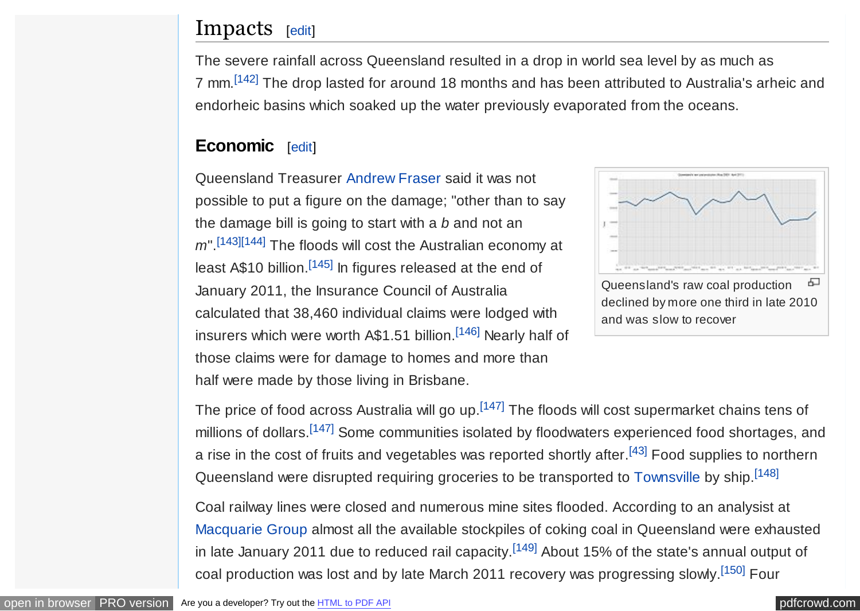## <span id="page-17-0"></span>Impacts [[edit\]](https://en.wikipedia.org/w/index.php?title=2010%E2%80%9311_Queensland_floods&action=edit§ion=20)

The severe rainfall across Queensland resulted in a drop in world sea level by as much as 7 mm.[\[142\]](#page-29-0) The drop lasted for around 18 months and has been attributed to Australia's arheic and endorheic basins which soaked up the water previously evaporated from the oceans.

## **Economic** [[edit\]](https://en.wikipedia.org/w/index.php?title=2010%E2%80%9311_Queensland_floods&action=edit§ion=21)

Queensland Treasurer [Andrew Fraser](https://en.wikipedia.org/wiki/Andrew_Fraser_(Queensland_politician)) said it was not possible to put a figure on the damage; "other than to say the damage bill is going to start with a *b* and not an *m*".[\[143\]\[144\]](#page-29-0) The floods will cost the Australian economy at least A\$10 billion.<sup>[\[145\]](#page-29-0)</sup> In figures released at the end of January 2011, the Insurance Council of Australia calculated that 38,460 individual claims were lodged with insurers which were worth A\$1.51 billion.<sup>[\[146\]](#page-29-0)</sup> Nearly half of those claims were for damage to homes and more than half were made by those living in Brisbane.



The price of food across Australia will go up.<sup>[\[147\]](#page-29-0)</sup> The floods will cost supermarket chains tens of millions of dollars.<sup>[\[147\]](#page-29-0)</sup> Some communities isolated by floodwaters experienced food shortages, and a rise in the cost of fruits and vegetables was reported shortly after.<sup>[\[43\]](#page-22-0)</sup> Food supplies to northern Queensland were disrupted requiring groceries to be transported to [Townsville](https://en.wikipedia.org/wiki/Townsville) by ship.<sup>[\[148\]](#page-29-0)</sup>

Coal railway lines were closed and numerous mine sites flooded. According to an analysist at [Macquarie Group](https://en.wikipedia.org/wiki/Macquarie_Group) almost all the available stockpiles of coking coal in Queensland were exhausted in late January 2011 due to reduced rail capacity.<sup>[\[149\]](#page-30-0)</sup> About 15% of the state's annual output of coal production was lost and by late March 2011 recovery was progressing slowly.<sup>[\[150\]](#page-30-0)</sup> Four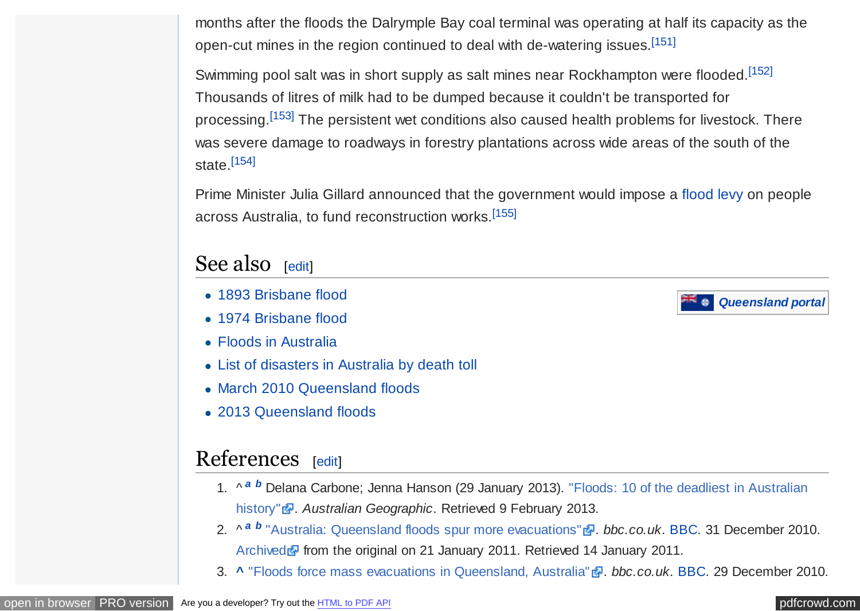<span id="page-18-0"></span>months after the floods the Dalrymple Bay coal terminal was operating at half its capacity as the open-cut mines in the region continued to deal with de-watering issues.<sup>[\[151\]](#page-30-0)</sup>

Swimming pool salt was in short supply as salt mines near Rockhampton were flooded.<sup>[\[152\]](#page-30-0)</sup> Thousands of litres of milk had to be dumped because it couldn't be transported for processing.<sup>[\[153\]](#page-30-0)</sup> The persistent wet conditions also caused health problems for livestock. There was severe damage to roadways in forestry plantations across wide areas of the south of the state.[\[154\]](#page-30-0)

Prime Minister Julia Gillard announced that the government would impose a [flood levy](https://en.wikipedia.org/wiki/Flood_levy) on people across Australia, to fund reconstruction works.[\[155\]](#page-30-0)

## See also [[edit\]](https://en.wikipedia.org/w/index.php?title=2010%E2%80%9311_Queensland_floods&action=edit§ion=22)

- [1893 Brisbane flood](https://en.wikipedia.org/wiki/1893_Brisbane_flood)
- [1974 Brisbane flood](https://en.wikipedia.org/wiki/1974_Brisbane_flood)
- [Floods in Australia](https://en.wikipedia.org/wiki/Floods_in_Australia)
- [List of disasters in Australia by death toll](https://en.wikipedia.org/wiki/List_of_disasters_in_Australia_by_death_toll)
- [March 2010 Queensland floods](https://en.wikipedia.org/wiki/March_2010_Queensland_floods)
- [2013 Queensland floods](https://en.wikipedia.org/wiki/2013_Queensland_floods)

## References [[edit\]](https://en.wikipedia.org/w/index.php?title=2010%E2%80%9311_Queensland_floods&action=edit§ion=23)

- 1. ^ *[a](#page-1-0) [b](#page-0-0)* [Delana Carbone; Jenna Hanson \(29 January 2013\). "Floods: 10 of the deadliest in Australian](http://www.australiangeographic.com.au/journal/the-worst-floods-in-australian-history.htm) history" **a**. Australian Geographic. Retrieved 9 February 2013.
- 2. ^<sup>[a](#page-0-0) [b](#page-0-0)</sup> ["Australia: Queensland floods spur more evacuations"](http://www.bbc.co.uk/news/world-asia-pacific-12097280) *a. bbc.co.uk*. [BBC.](https://en.wikipedia.org/wiki/BBC) 31 December 2010. [Archived](https://web.archive.org/web/20110121090513/http://www.bbc.co.uk/news/world-asia-pacific-12097280) **F** from the original on 21 January 2011. Retrieved 14 January 2011.
- 3. **[^](#page-0-0)** ["Floods force mass evacuations in Queensland, Australia"](http://www.bbc.co.uk/news/world-asia-pacific-12087870) . *bbc.co.uk*. [BBC.](https://en.wikipedia.org/wiki/BBC) 29 December 2010.

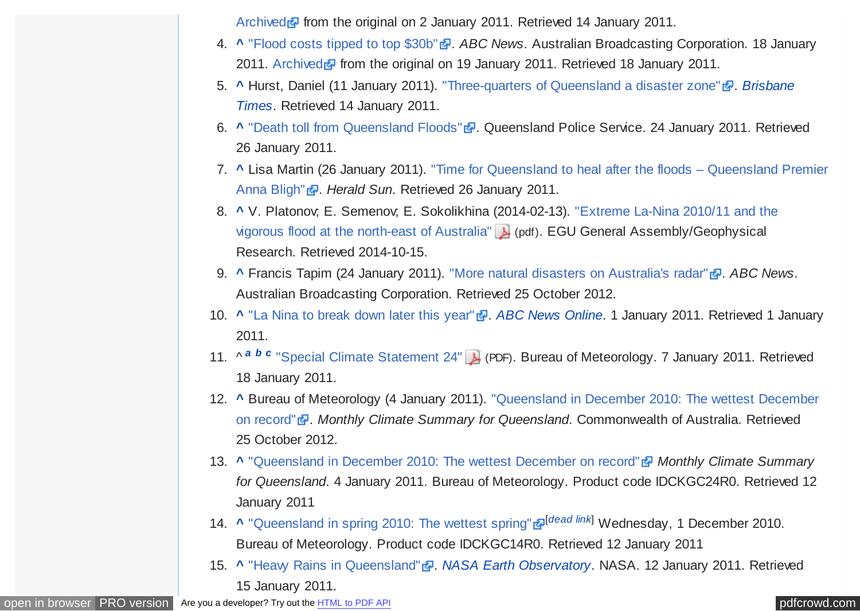[Archived](https://web.archive.org/web/20110102080730/http://www.bbc.co.uk/news/world-asia-pacific-12087870) **F** from the original on 2 January 2011. Retrieved 14 January 2011.

- <span id="page-19-0"></span>4. **[^](#page-0-0)** ["Flood costs tipped to top \\$30b"](http://www.abc.net.au/news/stories/2011/01/18/3115815.htm) . *ABC News*. Australian Broadcasting Corporation. 18 January 2011. [Archived](https://web.archive.org/web/20110119035232/http://www.abc.net.au/news/stories/2011/01/18/3115815.htm) **F** from the original on 19 January 2011. Retrieved 18 January 2011.
- 5. **[^](#page-0-0)** [Hurst, Daniel \(11 January 2011\). "Three-quarters of Queensland a disaster zone"](https://en.wikipedia.org/wiki/Brisbane_Times) . *Brisbane Times*. Retrieved 14 January 2011.
- 6. **[^](#page-1-0)** ["Death toll from Queensland Floods"](http://www.police.qld.gov.au/News+and+Alerts/Media+Releases/2011/01/death_toll_jan24.htm) **.** Queensland Police Service. 24 January 2011. Retrieved 26 January 2011.
- 7. **[^](#page-1-0)** [Lisa Martin \(26 January 2011\). "Time for Queensland to heal after the floods Queensland Premier](http://www.heraldsun.com.au/news/national/time-for-queensland-to-heal-bligh/story-e6frf7l6-1225994612338) Anna Bligh" . *Herald Sun*. Retrieved 26 January 2011.
- 8. **[^](#page-2-0)** [V. Platonov; E. Semenov; E. Sokolikhina \(2014-02-13\). "Extreme La-Nina 2010/11 and the](http://meetingorganizer.copernicus.org/EGU2012/EGU2012-313-2.pdf) vigorous flood at the north-east of Australia" (pdf). EGU General Assembly/Geophysical Research. Retrieved 2014-10-15.
- 9. **[^](#page-2-0)** Francis Tapim (24 January 2011). ["More natural disasters on Australia's radar"](http://www.abc.net.au/news/2011-01-23/more-natural-disasters-on-australias-radar/1915704) **.** *ABC News*. Australian Broadcasting Corporation. Retrieved 25 October 2012.
- 10. **A** ["La Nina to break down later this year"](http://www.abc.net.au/news/stories/2011/01/01/3104737.htm) **.** *[ABC News Online](https://en.wikipedia.org/wiki/ABC_News_(Australia))*. 1 January 2011. Retrieved 1 January 2011.
- 11. ^ *[a](#page-2-0) [b](#page-4-0) [c](#page-4-0)* ["Special Climate Statement 24"](http://www.bom.gov.au/climate/current/statements/scs24.pdf) (PDF). Bureau of Meteorology. 7 January 2011. Retrieved 18 January 2011.
- 12. **[^](#page-2-0)** [Bureau of Meteorology \(4 January 2011\). "Queensland in December 2010: The wettest December](http://www.bom.gov.au/climate/current/month/qld/archive/201012.summary.shtml) on record" <sup>2</sup>. Monthly Climate Summary for Queensland. Commonwealth of Australia. Retrieved 25 October 2012.
- 13. **[^](#page-3-0)** ["Queensland in December 2010: The wettest December on record"](http://reg.bom.gov.au/climate/current/month/qld/summary.shtml) *Monthly Climate Summary for Queensland*. 4 January 2011. Bureau of Meteorology. Product code IDCKGC24R0. Retrieved 12 January 2011
- 14. [^](#page-3-0) ["Queensland in spring 2010: The wettest spring"](http://reg.bom.gov.au/climate/current/season/qld/summary.shtm006C) a<sup>[[dead link](https://en.wikipedia.org/wiki/Wikipedia:Link_rot)]</sup> Wednesday, 1 December 2010. Bureau of Meteorology. Product code IDCKGC14R0. Retrieved 12 January 2011
- 15. **[^](#page-3-0)** "Heaw Rains in Oueensland" **.** *[NASA Earth Observatory](https://en.wikipedia.org/wiki/NASA_Earth_Observatory)*. NASA. 12 January 2011. Retrieved 15 January 2011.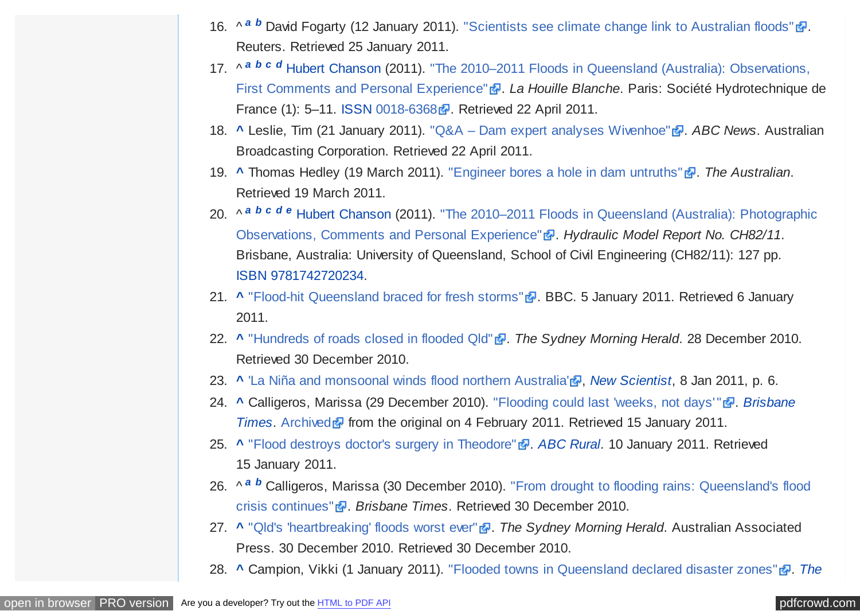- <span id="page-20-0"></span>16. ^ *[a](#page-3-0) [b](#page-3-0)* David Fogarty (12 January 2011). ["Scientists see climate change link to Australian floods"](http://www.reuters.com/article/idUSTRE70B1XF20110112)  $\mathbb{F}$ . Reuters. Retrieved 25 January 2011.
- 17. ^ *[a](#page-3-0) [b](#page-4-0) [c](#page-6-0) [d](#page-11-0)* [Hubert Chanson \(2011\). "The 2010–2011 Floods in Queensland \(Australia\): Observations,](http://espace.library.uq.edu.au/view/UQ:239732) First Comments and Personal Experience" **a**. La Houille Blanche. Paris: Société Hydrotechnique de France (1): 5–11. [ISSN](https://en.wikipedia.org/wiki/International_Standard_Serial_Number) [0018-6368](https://www.worldcat.org/issn/0018-6368) **.** Retrieved 22 April 2011.
- 18. **[^](#page-3-0)** Leslie, Tim (21 January 2011). ["Q&A Dam expert analyses Wivenhoe"](http://www.abc.net.au/news/stories/2011/01/21/3118379.htm) <sup>2</sup>. ABC News. Australian Broadcasting Corporation. Retrieved 22 April 2011.
- 19. **[^](#page-3-0)** Thomas Hedley (19 March 2011). ["Engineer bores a hole in dam untruths"](http://www.theaustralian.com.au/national-affairs/engineer-bores-a-hole-in-dam-untruths/story-fn59niix-1226023744956) **a**. The Australian. Retrieved 19 March 2011.
- 20. ^ *[a](#page-4-0) [b](#page-4-0) [c](#page-4-0) [d](#page-9-0) [e](#page-11-0)* [Hubert Chanson \(2011\). "The 2010–2011 Floods in Queensland \(Australia\): Photographic](http://espace.library.uq.edu.au/view/UQ:241445) Observations, Comments and Personal Experience" **a**. Hydraulic Model Report No. CH82/11. Brisbane, Australia: University of Queensland, School of Civil Engineering (CH82/11): 127 pp. [ISBN](https://en.wikipedia.org/wiki/International_Standard_Book_Number) [9781742720234.](https://en.wikipedia.org/wiki/Special:BookSources/9781742720234)
- 21. **[^](#page-4-0)** ["Flood-hit Queensland braced for fresh storms"](http://www.bbc.co.uk/news/world-asia-pacific-12124805) **.** BBC. 5 January 2011. Retrieved 6 January 2011.
- 22. **[^](#page-4-0)** ["Hundreds of roads closed in flooded Qld"](http://news.smh.com.au/breaking-news-national/hundreds-of-roads-closed-in-flooded-qld-20101228-198z7.html) . *The Sydney Morning Herald*. 28 December 2010. Retrieved 30 December 2010.
- 23. **[^](#page-4-0)** ['La Niña and monsoonal winds flood northern Australia'](http://www.newscientist.com/article/mg20927941.400-la-nina-and-monsoonal-winds-flood-northern-australia.html) *a*. *[New Scientist](https://en.wikipedia.org/wiki/New_Scientist)*, 8 Jan 2011, p. 6.
- 24. **[^](#page-4-0)** [Calligeros, Marissa \(29 December 2010\). "Flooding could last 'weeks, not days'"](https://en.wikipedia.org/wiki/Brisbane_Times) . *Brisbane Times*. [Archived](https://web.archive.org/web/20110204130031/http://www.brisbanetimes.com.au/environment/weather/flooding-could-last-weeks-not-days-20101229-199iy.html) from the original on 4 February 2011. Retrieved 15 January 2011.
- 25. **[^](#page-4-0)** ["Flood destroys doctor's surgery in Theodore"](http://www.abc.net.au/rural/news/content/201101/s3109577.htm) . *[ABC Rural](https://en.wikipedia.org/wiki/ABC_Rural)*. 10 January 2011. Retrieved 15 January 2011.
- 26. ^ *[a](#page-5-0) [b](#page-6-0)* [Calligeros, Marissa \(30 December 2010\). "From drought to flooding rains: Queensland's flood](http://www.brisbanetimes.com.au/environment/weather/from-drought-to-flooding-rains-queenslands-flood-crisis-continues-20101229-19a4p.html) crisis continues" . *Brisbane Times*. Retrieved 30 December 2010.
- 27. **[^](#page-5-0)** ["Qld's 'heartbreaking' floods worst ever"](http://news.smh.com.au/breaking-news-national/qlds-heartbreaking-floods-worst-ever-20101230-19adw.html) . *The Sydney Morning Herald*. Australian Associated Press. 30 December 2010. Retrieved 30 December 2010.
- 28. **[^](#page-5-0)** [Campion, Vikki \(1 January 2011\). "Flooded towns in Queensland declared disaster zones"](https://en.wikipedia.org/wiki/The_Daily_Telegraph_(Australia)) . *The*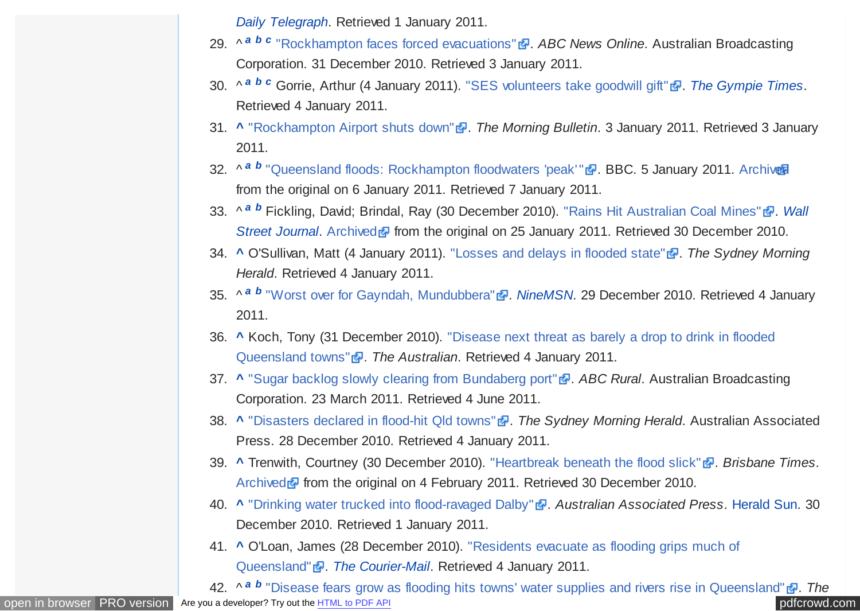*Daily Telegraph*[. Retrieved 1 January 2011.](https://en.wikipedia.org/wiki/The_Daily_Telegraph_(Australia))

- <span id="page-21-0"></span>29. ^ <sup>[a](#page-5-0) [b](#page-5-0) [c](#page-12-0)</sup> ["Rockhampton faces forced evacuations"](http://www.abc.net.au/news/stories/2010/12/31/3104500.htm?section=justin) **a**. ABC News Online. Australian Broadcasting Corporation. 31 December 2010. Retrieved 3 January 2011.
- 30. ^ *[a](#page-5-0) [b](#page-6-0) [c](#page-6-0)* Gorrie, Arthur (4 January 2011). ["SES volunteers take goodwill gift"](http://www.gympietimes.com.au/story/2011/01/04/our-ses-volunteers-take-goodwill-gift/) . [The Gympie Times](https://en.wikipedia.org/wiki/The_Gympie_Times). Retrieved 4 January 2011.
- 31. **A** ["Rockhampton Airport shuts down"](http://www.themorningbulletin.com.au/story/2011/01/03/rockhampton-airport-shuts-down/) **.** *The Morning Bulletin*. 3 January 2011. Retrieved 3 January 2011.
- 32. ^<sup>[a](#page-5-0) [b](#page-13-0)</sup> ["Queensland floods: Rockhampton floodwaters 'peak'"](http://www.bbc.co.uk/news/world-asia-pacific-12116919) <del>a</del>. BBC. 5 January 2011. Archivaa from the original on 6 January 2011. Retrieved 7 January 2011.
- 33. ^ *[a](#page-5-0) [b](#page-11-0)* [Fickling, David; Brindal, Ray \(30 December 2010\). "Rains Hit Australian Coal Mines"](https://en.wikipedia.org/wiki/Wall_Street_Journal) . *Wall Street Journal*. [Archived](https://web.archive.org/web/20110125162002/http://online.wsj.com/article/SB10001424052970203513204576048852232192150.html) from the original on 25 January 2011. Retrieved 30 December 2010.
- 34. **[^](#page-5-0)** O'Sullivan, Matt (4 January 2011). ["Losses and delays in flooded state"](http://www.smh.com.au/business/losses-and-delays-in-flooded-state-20110103-19dst.html) . *The Sydney Morning Herald*. Retrieved 4 January 2011.
- 35. ^ <sup>[a](#page-6-0) *[b](#page-6-0)*</sup> ["Worst over for Gayndah, Mundubbera"](http://news.ninemsn.com.au/national/8189868/worst-over-for-gayndah-mundubbera) *[NineMSN](https://en.wikipedia.org/wiki/NineMSN)*. 29 December 2010. Retrieved 4 January 2011.
- 36. **[^](#page-6-0)** [Koch, Tony \(31 December 2010\). "Disease next threat as barely a drop to drink in flooded](http://www.theaustralian.com.au/news/nation/disease-next-threat-as-barely-a-drop-to-drink-in-flooded-queensland-towns/story-e6frg6nf-1225979003071) Queensland towns" . *The Australian*. Retrieved 4 January 2011.
- 37. **[^](#page-6-0)** ["Sugar backlog slowly clearing from Bundaberg port"](http://www.abc.net.au/rural/news/content/201103/s3171200.htm) **.** ABC Rural. Australian Broadcasting Corporation. 23 March 2011. Retrieved 4 June 2011.
- 38. **[^](#page-6-0)** ["Disasters declared in flood-hit Qld towns"](http://news.smh.com.au/breaking-news-national/disasters-declared-in-floodhit-qld-towns-20101228-198sn.html) . *The Sydney Morning Herald*. Australian Associated Press. 28 December 2010. Retrieved 4 January 2011.
- 39. **[^](#page-6-0)** Trenwith, Courtney (30 December 2010). ["Heartbreak beneath the flood slick"](http://www.brisbanetimes.com.au/environment/weather/heartbreak-beneath-the-flood-slick-20101229-19ad6.html) . *Brisbane Times*. [Archived](https://web.archive.org/web/20110204125940/http://www.brisbanetimes.com.au/environment/weather/heartbreak-beneath-the-flood-slick-20101229-19ad6.html) **F** from the original on 4 February 2011. Retrieved 30 December 2010.
- 40. **[^](#page-6-0)** ["Drinking water trucked into flood-ravaged Dalby"](http://www.heraldsun.com.au/news/breaking-news/drinking-water-trucked-into-flood-ravaged-dalby/story-e6frf7jx-1225978676970) . *Australian Associated Press*. [Herald Sun.](https://en.wikipedia.org/wiki/Herald_Sun) 30 December 2010. Retrieved 1 January 2011.
- 41. **[^](#page-7-0)** [O'Loan, James \(28 December 2010\). "Residents evacuate as flooding grips much of](http://www.heraldsun.com.au/news/national/residents-evacuate-as-flooding-grips-much-of-queensland/story-e6frf7l6-1225977082293) Queensland" . *[The Courier-Mail](https://en.wikipedia.org/wiki/The_Courier-Mail)*. Retrieved 4 January 2011.

[open in browser](http://pdfcrowd.com/redirect/?url=https%3a%2f%2fen.wikipedia.org%2fwiki%2f2010%25E2%2580%259311_Queensland_floods&id=ma-161129012412-1059a10e) [PRO version](http://pdfcrowd.com/customize/) Are you a developer? Try out th[e HTML to PDF API](http://pdfcrowd.com/html-to-pdf-api/?ref=pdf) position of the ATML to PDF API [pdfcrowd.com](http://pdfcrowd.com) 42. ^ *[a](#page-7-0) [b](#page-14-0)* ["Disease fears grow as flooding hits towns' water supplies and rivers rise in Queensland"](http://www.news.com.au/national/disease-fears-grow-as-flooding-hits-towns-water-supplies-and-rivers-rise-in-rockhampton-bundaberg-and-emerald/story-e6frfkwr-1225978700048) . *The*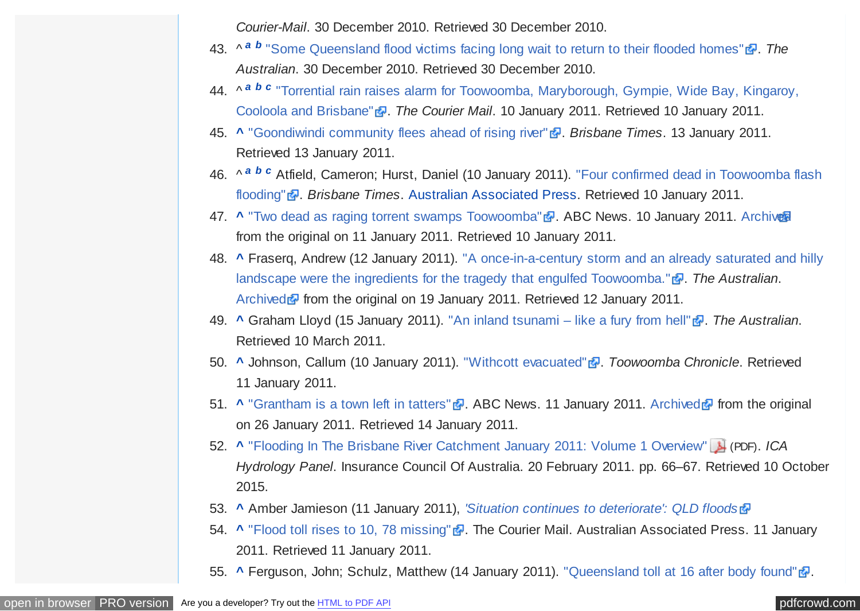*Courier-Mail*. 30 December 2010. Retrieved 30 December 2010.

- <span id="page-22-0"></span>43. ^<sup>[a](#page-7-0) [b](#page-17-0)</sup> ["Some Queensland flood victims facing long wait to return to their flooded homes"](http://www.theaustralian.com.au/news/nation/some-queensland-flood-victims-facing-long-wait-to-return-to-their-flooded-homes/story-e6frg6nf-1225978512441) *配. The Australian*. 30 December 2010. Retrieved 30 December 2010.
- 44. ^ *[a](#page-7-0) [b](#page-7-0) [c](#page-8-0)* ["Torrential rain raises alarm for Toowoomba, Maryborough, Gympie, Wide Bay, Kingaroy,](http://www.couriermail.com.au/news/torrential-rain-raises-alarm-for-maryborough-gympie-wide-bay-kingaroy-cooloola-and-brisbane/story-e6freon6-1225984664015) Cooloola and Brisbane" . *The Courier Mail*. 10 January 2011. Retrieved 10 January 2011.
- 45. **[^](#page-7-0)** ["Goondiwindi community flees ahead of rising river"](http://www.brisbanetimes.com.au/environment/weather/goondiwindi-community-flees-ahead-of-rising-river-20110113-19pvj.html) . *Brisbane Times*. 13 January 2011. Retrieved 13 January 2011.
- 46. ^ *[a](#page-7-0) [b](#page-11-0) [c](#page-12-0)* [Atfield, Cameron; Hurst, Daniel \(10 January 2011\). "Four confirmed dead in Toowoomba flash](http://www.brisbanetimes.com.au/environment/weather/four-confirmed-dead-in-toowoomba-flash-flooding-20110110-19kti.html) flooding" **a**. Brisbane Times. [Australian Associated Press.](https://en.wikipedia.org/wiki/Australian_Associated_Press) Retrieved 10 January 2011.
- 47. **[^](#page-7-0)** ["Two dead as raging torrent swamps Toowoomba"](http://www.abc.net.au/news/stories/2011/01/10/3109846.htm) . ABC News. 10 January 2011. [Archived](https://web.archive.org/web/20110111193914/http://www.abc.net.au/news/stories/2011/01/10/3109846.htm) from the original on 11 January 2011. Retrieved 10 January 2011.
- 48. **[^](#page-8-0)** [Fraserq, Andrew \(12 January 2011\). "A once-in-a-century storm and an already saturated and hilly](http://www.theaustralian.com.au/in-depth/queensland-floods/toowoomba-copped-wrath-of-la-nina/story-fn7iwx3v-1225985875512) landscape were the ingredients for the tragedy that engulfed Toowoomba." **a**. The Australian. [Archived](https://web.archive.org/web/20110119115938/http://www.theaustralian.com.au/in-depth/queensland-floods/toowoomba-copped-wrath-of-la-nina/story-fn7iwx3v-1225985875512) **F** from the original on 19 January 2011. Retrieved 12 January 2011.
- 49. **[^](#page-8-0)** Graham Lloyd (15 January 2011). ["An inland tsunami like a fury from hell"](http://www.theaustralian.com.au/in-depth/queensland-floods/an-inland-tsunami-like-a-fury-from-hell/story-fn7iwx3v-1225988066591) . *The Australian*. Retrieved 10 March 2011.
- 50. **[^](#page-8-0)** Johnson, Callum (10 January 2011). ["Withcott evacuated"](http://www.thechronicle.com.au/story/2011/01/11/withcott-flood-evacuation-toowoomba-rain/) . *Toowoomba Chronicle*. Retrieved 11 January 2011.
- 51. **[^](#page-8-0)** ["Grantham is a town left in tatters"](http://www.abc.net.au/news/video/2011/01/11/3110349.htm) **a**. ABC News. 11 January 2011. [Archived](https://web.archive.org/web/20110126075823/http://www.abc.net.au/news/video/2011/01/11/3110349.htm) **a** from the original on 26 January 2011. Retrieved 14 January 2011.
- 52. **[^](#page-8-0)** ["Flooding In The Brisbane River Catchment January 2011: Volume 1 Overview"](http://www.insurancecouncil.com.au/assets/report/volume%201%20-%20brisbane%20valley%20hydrology%20%28overview%29.pdf) (PDF). *ICA Hydrology Panel*. Insurance Council Of Australia. 20 February 2011. pp. 66–67. Retrieved 10 October 2015.
- 53. **[^](#page-8-0)** Amber Jamieson (11 January 2011), *['Situation continues to deteriorate': QLD floods](http://www.crikey.com.au/2011/01/11/inland-instant-tsunami-devastates-southern-qld/)*
- 54. **[^](#page-8-0)** ["Flood toll rises to 10, 78 missing"](http://www.couriermail.com.au/news/flood-toll-rises-to-nine-66-missing/story-e6freon6-1225985766915) . The Courier Mail. Australian Associated Press. 11 January 2011. Retrieved 11 January 2011.
- 55. **[^](#page-8-0)** Ferguson, John: Schulz, Matthew (14 January 2011). "Oueensland toll at 16 after body found" .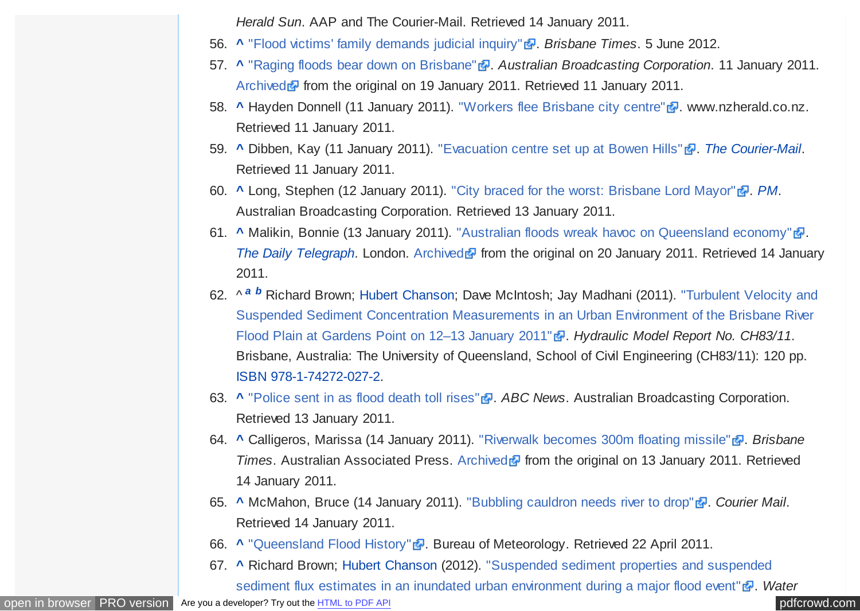*Herald Sun*. AAP and The Courier-Mail. Retrieved 14 January 2011.

- <span id="page-23-0"></span>56. **[^](#page-9-0)** ["Flood victims' family demands judicial inquiry"](http://www.brisbanetimes.com.au/queensland/flood-victims-family-demands-judicial-inquiry-20120605-1ztcb.html) . *Brisbane Times*. 5 June 2012.
- 57. **[^](#page-9-0)** ["Raging floods bear down on Brisbane"](http://www.abc.net.au/news/stories/2011/01/11/3110450.htm) . *Australian Broadcasting Corporation*. 11 January 2011. [Archived](https://web.archive.org/web/20110119032621/http://www.abc.net.au/news/stories/2011/01/11/3110450.htm) **F** from the original on 19 January 2011. Retrieved 11 January 2011.
- 58. **[^](#page-9-0)** Hayden Donnell (11 January 2011). ["Workers flee Brisbane city centre"](http://www.nzherald.co.nz/world/news/article.cfm?c_id=2&objectid=10699091) . www.nzherald.co.nz. Retrieved 11 January 2011.
- 59. **[^](#page-9-0)** Dibben, Kay (11 January 2011). ["Evacuation centre set up at Bowen Hills"](http://www.couriermail.com.au/ipad/evacuation-centre-set-up-at-bowen-hills/story-fn6ck51p-1225985695299) . *[The Courier-Mail](https://en.wikipedia.org/wiki/The_Courier-Mail)*. Retrieved 11 January 2011.
- 60. **[^](#page-9-0)** Long, Stephen (12 January 2011). ["City braced for the worst: Brisbane Lord Mayor"](http://www.abc.net.au/pm/content/2011/s3111503.htm) . *[PM](https://en.wikipedia.org/wiki/PM_(ABC_Radio))*. Australian Broadcasting Corporation. Retrieved 13 January 2011.
- 61. **[^](#page-9-0)** Malikin, Bonnie (13 January 2011). ["Australian floods wreak havoc on Queensland economy"](http://www.telegraph.co.uk/news/worldnews/australiaandthepacific/australia/8256484/Australian-floods-wreak-havoc-on-Queensland-economy.html) ... *[The Daily Telegraph](https://en.wikipedia.org/wiki/The_Daily_Telegraph).* London. [Archived](https://web.archive.org/web/20110120113753/http://www.telegraph.co.uk/news/worldnews/australiaandthepacific/australia/8256484/Australian-floods-wreak-havoc-on-Queensland-economy.html) **F** from the original on 20 January 2011. Retrieved 14 January 2011.
- 62. ^ *[a](#page-9-0) [b](#page-10-0)* Richard Brown; [Hubert Chanson;](https://en.wikipedia.org/wiki/Hubert_Chanson) Dave McIntosh; Jay Madhani (2011). "Turbulent Velocity and [Suspended Sediment Concentration Measurements in an Urban Environment of the Brisbane River](http://espace.library.uq.edu.au/view/UQ:243550) Flood Plain at Gardens Point on 12–13 January 2011" **a**. Hydraulic Model Report No. CH83/11. Brisbane, Australia: The University of Queensland, School of Civil Engineering (CH83/11): 120 pp. [ISBN](https://en.wikipedia.org/wiki/International_Standard_Book_Number) [978-1-74272-027-2.](https://en.wikipedia.org/wiki/Special:BookSources/978-1-74272-027-2)
- 63. **[^](#page-9-0)** ["Police sent in as flood death toll rises"](http://www.abc.net.au/news/stories/2011/01/13/3112246.htm?section=justin) . *ABC News*. Australian Broadcasting Corporation. Retrieved 13 January 2011.
- 64. **[^](#page-10-0)** Calligeros, Marissa (14 January 2011). ["Riverwalk becomes 300m floating missile"](http://www.brisbanetimes.com.au/environment/weather/riverwalk-becomes-300m-floating-missile-20110112-19nwp.html) . *Brisbane Times*. Australian Associated Press. [Archived](https://web.archive.org/web/20110113024953/http://www.brisbanetimes.com.au/environment/weather/riverwalk-becomes-300m-floating-missile-20110112-19nwp.html) **F** from the original on 13 January 2011. Retrieved 14 January 2011.
- 65. **[^](#page-10-0)** McMahon, Bruce (14 January 2011). ["Bubbling cauldron needs river to drop"](http://www.couriermail.com.au/ipad/bubbling-cauldron-needs-river-to-drop/story-fn6ck45n-1225987400161) **.** Courier Mail. Retrieved 14 January 2011.
- 66. **[^](#page-10-0)** ["Queensland Flood History"](http://www.bom.gov.au/hydro/flood/qld/fld_history/index.shtml) . Bureau of Meteorology. Retrieved 22 April 2011.
- 67. **[^](#page-10-0)** [Richard Brown; Hubert Chanson \(2012\). "Suspended sediment properties and suspended](http://espace.library.uq.edu.au/view/UQ:285984) sediment flux estimates in an inundated urban environment during a major flood event" . *Water*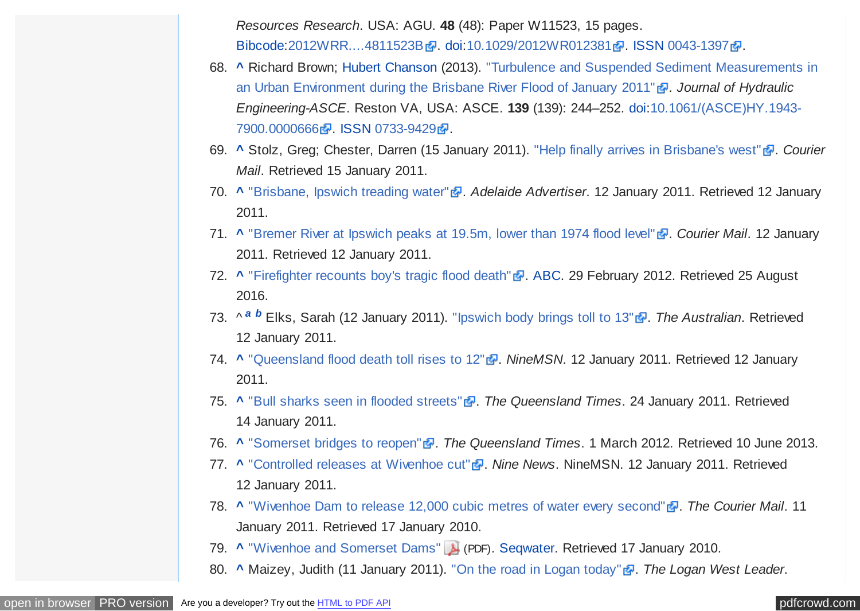*Resources Research*. USA: AGU. **48** (48): Paper W11523, 15 pages. [Bibcode:](https://en.wikipedia.org/wiki/Bibcode) [2012WRR....4811523B](http://adsabs.harvard.edu/abs/2012WRR....4811523B) 2. [doi:](https://en.wikipedia.org/wiki/Digital_object_identifier)[10.1029/2012WR012381](https://dx.doi.org/10.1029%2F2012WR012381) 2. [ISSN](https://en.wikipedia.org/wiki/International_Standard_Serial_Number) [0043-1397](https://www.worldcat.org/issn/0043-1397) 2.

- <span id="page-24-0"></span>68. **[^](#page-10-0)** [Richard Brown; Hubert Chanson \(2013\). "Turbulence and Suspended Sediment Measurements in](http://espace.library.uq.edu.au/view/UQ:290531) an Urban Environment during the Brisbane River Flood of January 2011" **.** Journal of Hydraulic *Engineering-ASCE*. Reston VA, USA: ASCE. **139** [\(139\): 244–252. doi:10.1061/\(ASCE\)HY.1943-](https://dx.doi.org/10.1061%2F%28ASCE%29HY.1943-7900.0000666) 7900.0000666 . [ISSN](https://en.wikipedia.org/wiki/International_Standard_Serial_Number) [0733-9429](https://www.worldcat.org/issn/0733-9429) .
- 69. **[^](#page-10-0)** Stolz, Greg; Chester, Darren (15 January 2011). ["Help finally arrives in Brisbane's west"](http://www.couriermail.com.au/news/queensland/help-finally-arrives-in-brisbanes-west/story-fn7knuy7-1225988016944) . *Courier Mail*. Retrieved 15 January 2011.
- 70. **[^](#page-10-0)** ["Brisbane, Ipswich treading water"](http://www.adelaidenow.com.au/news/national/brisbane-ipswich-treading-water/story-e6frea8c-1225986072469) . *Adelaide Advertiser*. 12 January 2011. Retrieved 12 January 2011.
- 71. **[^](#page-10-0)** ["Bremer River at Ipswich peaks at 19.5m, lower than 1974 flood level"](http://www.couriermail.com.au/news/queensland/ipswich-residents-evacuate-ahead-of-bremer-river-peak/story-e6freoof-1225985598772) . *Courier Mail*. 12 January 2011. Retrieved 12 January 2011.
- 72. **[^](#page-10-0)** ["Firefighter recounts boy's tragic flood death"](http://www.abc.net.au/news/2012-02-29/inquest-hears-of-boys-tragic-death-in-qld-floods/3860624) **.** [ABC.](https://en.wikipedia.org/wiki/Australian_Broadcasting_Corporation) 29 February 2012. Retrieved 25 August 2016.
- 73. ^ *[a](#page-10-0) [b](#page-12-0)* Elks, Sarah (12 January 2011). ["Ipswich body brings toll to 13"](http://www.theaustralian.com.au/in-depth/queensland-floods/ipswich-body-brings-toll-to-13/story-fn7iwx3v-1225986638717) . *The Australian*. Retrieved 12 January 2011.
- 74. **[^](#page-10-0)** ["Queensland flood death toll rises to 12"](http://news.ninemsn.com.au/national/8195493/searchers-prepare-to-find-missing-in-qld) . *NineMSN*. 12 January 2011. Retrieved 12 January 2011.
- 75. **[^](#page-10-0)** ["Bull sharks seen in flooded streets"](http://www.qt.com.au/story/2011/01/14/ipswich-bull-sharks-spotted-flood-affected-streets/) . *The Queensland Times*. 24 January 2011. Retrieved 14 January 2011.
- 76. **[^](#page-10-0)** ["Somerset bridges to reopen"](http://www.qt.com.au/news/somerset-bridges-reopen/1290609/) . *The Queensland Times*. 1 March 2012. Retrieved 10 June 2013.
- 77. **[^](#page-11-0)** ["Controlled releases at Wivenhoe cut"](http://news.ninemsn.com.au/national/floods/8195758/controlled-releases-at-wivenhoe-cut) . *Nine News*. NineMSN. 12 January 2011. Retrieved 12 January 2011.
- 78. **A** ["Wivenhoe Dam to release 12,000 cubic metres of water every second"](http://www.couriermail.com.au/news/wivenhoe-dam-gates-opened-wider-to-increase-flows-into-brisbane-river/story-e6freon6-1225985753811) **.** *The Courier Mail.* 11 January 2011. Retrieved 17 January 2010.
- 79. **[^](#page-11-0)** ["Wivenhoe and Somerset Dams"](http://www.cabinet.qld.gov.au/MMS/MediaAttachments/2010/pdf/32253%20SEQWG%20Wivenhoe%20Fact%20Sheet%20A4%202pp%20F.pdf) (PDF). [Seqwater.](https://en.wikipedia.org/wiki/Seqwater) Retrieved 17 January 2010.
- 80. **[^](#page-11-0)** Maizey, Judith (11 January 2011). ["On the road in Logan today"](http://logan-west-leader.whereilive.com.au/news/story/on-the-road-in-logan-today/) . *The Logan West Leader*.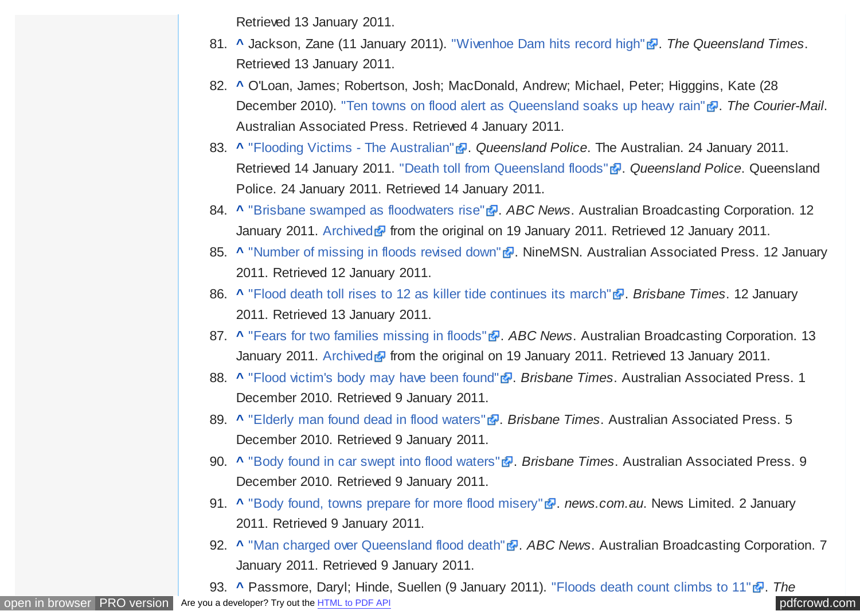Retrieved 13 January 2011.

- <span id="page-25-0"></span>81. **A** Jackson, Zane (11 January 2011). ["Wivenhoe Dam hits record high"](http://www.qt.com.au/story/2011/01/11/wivenhoe-dam-record-level-flood-rain-overflow/) <sup>1</sup>. The Queensland Times. Retrieved 13 January 2011.
- 82. **[^](#page-11-0)** O'Loan, James; Robertson, Josh; MacDonald, Andrew; Michael, Peter; Higggins, Kate (28 December 2010). ["Ten towns on flood alert as Queensland soaks up heavy rain"](http://www.couriermail.com.au/news/half-the-state-waterlogged-and-more-rain-to-come-with-expected-1b-damage-bill/story-e6freon6-1225976473249)  $\frac{1}{2}$ . The Courier-Mail. Australian Associated Press. Retrieved 4 January 2011.
- 83. **A** ["Flooding Victims The Australian"](http://www.theaustralian.com.au/in-depth/queensland-floods/flood-victims-the-dead-and-the-missing/story-fn7iwx3v-1225988794578) **.** Oueensland Police. The Australian. 24 January 2011. Retrieved 14 January 2011. ["Death toll from Queensland floods"](http://www.police.qld.gov.au/News+and+Alerts/Media+Releases/2011/01/death_toll_jan24.htm) **a**. *Queensland Police*. Queensland Police. 24 January 2011. Retrieved 14 January 2011.
- 84. **[^](#page-11-0)** ["Brisbane swamped as floodwaters rise"](http://www.abc.net.au/news/stories/2011/01/12/3111075.htm) . ABC News. Australian Broadcasting Corporation. 12 January 2011. [Archived](https://web.archive.org/web/20110119032058/http://www.abc.net.au/news/stories/2011/01/12/3111075.htm) **F** from the original on 19 January 2011. Retrieved 12 January 2011.
- 85. **A** ["Number of missing in floods revised down"](http://news.ninemsn.com.au/national/floods/8195697/number-of-missing-in-floods-revised-down) **.** NineMSN. Australian Associated Press. 12 January 2011. Retrieved 12 January 2011.
- 86. **[^](#page-11-0)** ["Flood death toll rises to 12 as killer tide continues its march"](http://www.brisbanetimes.com.au/environment/weather/flood-death-toll-rises-to-12-as-killer-tide-continues-its-march-20110112-19my3.html) . *Brisbane Times*. 12 January 2011. Retrieved 13 January 2011.
- 87. **[^](#page-11-0)** ["Fears for two families missing in floods"](http://www.abc.net.au/news/stories/2011/01/13/3111867.htm) **.** *ABC News.* Australian Broadcasting Corporation. 13 January 2011. [Archived](https://web.archive.org/web/20110119074353/http://www.abc.net.au/news/stories/2011/01/13/3111867.htm) F from the original on 19 January 2011. Retrieved 13 January 2011.
- 88. **A** ["Flood victim's body may have been found"](http://news.brisbanetimes.com.au/breaking-news-national/flood-victims-body-may-have-been-found-20101201-18gbm.html) **.** *Brisbane Times.* Australian Associated Press. 1 December 2010. Retrieved 9 January 2011.
- 89. **A** ["Elderly man found dead in flood waters"](http://www.brisbanetimes.com.au/queensland/elderly-man-found-dead-in-flood-waters-20101205-18l08.html) **.** Brisbane Times. Australian Associated Press. 5 December 2010. Retrieved 9 January 2011.
- 90. **[^](#page-11-0)** ["Body found in car swept into flood waters"](http://news.brisbanetimes.com.au/breaking-news-national/body-found-in-car-swept-into-flood-waters-20101209-18qtk.html) **.** Brisbane Times. Australian Associated Press. 9 December 2010. Retrieved 9 January 2011.
- 91. **A** ["Body found, towns prepare for more flood misery"](http://www.news.com.au/national/body-found-towns-prepare-for-more-flood-misery/story-e6frfkvr-1225980442362#ixzz1AW07yyPd) **.** *news.com.au*. News Limited. 2 January 2011. Retrieved 9 January 2011.
- 92. **[^](#page-11-0)** ["Man charged over Queensland flood death"](http://www.abc.net.au/news/stories/2011/01/07/3108325.htm) . ABC News. Australian Broadcasting Corporation. 7 January 2011. Retrieved 9 January 2011.

93. **A** Passmore, Daryl; Hinde, Suellen (9 January 2011). ["Floods death count climbs to 11"](http://www.couriermail.com.au/ipad/floods-death-count-climbs-to-11/story-fn6ck51p-1225984299784)  $\frac{1}{2}$ . The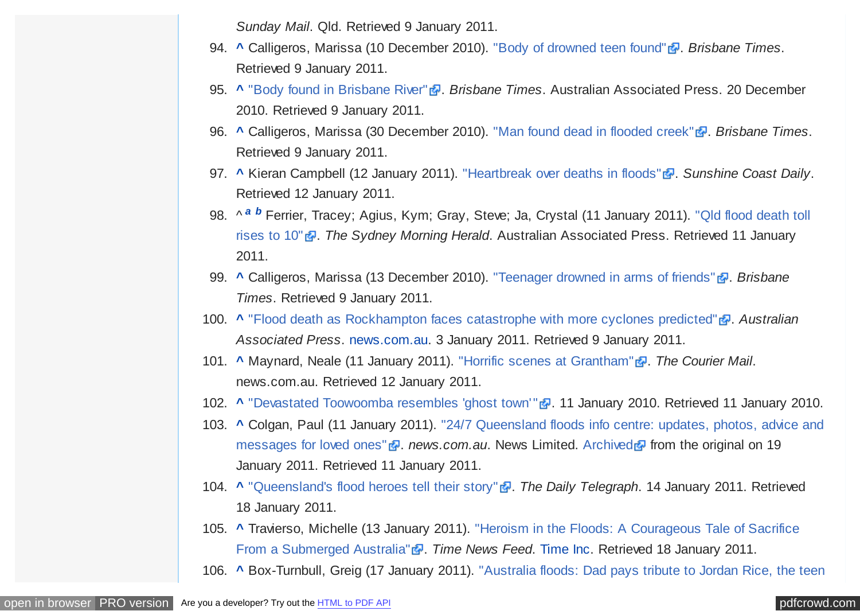*Sunday Mail*. Qld. Retrieved 9 January 2011.

- <span id="page-26-0"></span>94. **[^](#page-11-0)** Calligeros, Marissa (10 December 2010). ["Body of drowned teen found"](http://www.brisbanetimes.com.au/queensland/body-of-drowned-teen-found-20101209-18r7i.html) . Brisbane Times. Retrieved 9 January 2011.
- 95. **A** ["Body found in Brisbane River"](http://www.brisbanetimes.com.au/queensland/body-found-in-brisbane-river-20101223-196ds.html) **.** *Brisbane Times*. Australian Associated Press. 20 December 2010. Retrieved 9 January 2011.
- 96. **[^](#page-11-0)** Calligeros, Marissa (30 December 2010). ["Man found dead in flooded creek"](http://www.brisbanetimes.com.au/queensland/man-found-dead-in-flooded-creek-20101230-19aga.html) **.** Brisbane Times. Retrieved 9 January 2011.
- 97. **[^](#page-11-0)** Kieran Campbell (12 January 2011). ["Heartbreak over deaths in floods"](http://www.sunshinecoastdaily.com.au/story/2011/01/12/death-flood-family-children-water-rain-coast/) **.** Sunshine Coast Daily. Retrieved 12 January 2011.
- 98. ^ *[a](#page-11-0) [b](#page-12-0)* [Ferrier, Tracey; Agius, Kym; Gray, Steve; Ja, Crystal \(11 January 2011\). "Qld flood death toll](http://news.smh.com.au/breaking-news-national/qld-flood-death-toll-rises-to-10-20110111-19lc5.html) rises to 10" <sup>a</sup>. The Sydney Morning Herald. Australian Associated Press. Retrieved 11 January 2011.
- 99. **[^](#page-12-0)** Calligeros, Marissa (13 December 2010). ["Teenager drowned in arms of friends"](http://www.brisbanetimes.com.au/queensland/teenager-drowned-in-arms-of-friends-20101213-18uby.html) . *Brisbane Times*. Retrieved 9 January 2011.
- 100. [^](#page-12-0) ["Flood death as Rockhampton faces catastrophe with more cyclones predicted"](http://www.news.com.au/national/rockhampton-facing-catastrophe-as-more-cyclones-are-predicted/story-e6frfkvr-1225980725143#ixzz1AVyaYatS) **a**. Australian *Associated Press*. [news.com.au.](https://en.wikipedia.org/wiki/News_Limited) 3 January 2011. Retrieved 9 January 2011.
- 101. **[^](#page-12-0)** Maynard, Neale (11 January 2011). ["Horrific scenes at Grantham"](http://www.news.com.au/breaking-news/floodrelief/horrific-scenes-at-grantham/story-fn7ik2te-1225985360479) **.** The Courier Mail. news.com.au. Retrieved 12 January 2011.
- 102. **[^](#page-12-0)** ["Devastated Toowoomba resembles 'ghost town'"](http://www.sheppnews.com.au/members/login.aspx?noaccess=1&from=/article.aspx?id=1196546) **.** 11 January 2010. Retrieved 11 January 2010.
- 103. **[^](#page-12-0)** [Colgan, Paul \(11 January 2011\). "24/7 Queensland floods info centre: updates, photos, advice and](http://www.news.com.au/breaking-news/floodrelief/flood-info-centre-updates-reports-warnings-advice-and-how-you-can-help/story-fn7ik2te-1225985436806) messages for loved ones" **a**. *news.com.au*. News Limited. [Archived](https://web.archive.org/web/20110119022952/http://www.news.com.au/breaking-news/floodrelief/flood-info-centre-updates-reports-warnings-advice-and-how-you-can-help/story-fn7ik2te-1225985436806) **a** from the original on 19 January 2011. Retrieved 11 January 2011.
- 104. **[^](#page-12-0)** ["Queensland's flood heroes tell their story"](http://www.dailytelegraph.com.au/news/queenslands-flood-heroes-tell-their-story/story-e6freuy9-1225987437892) . The Daily Telegraph. 14 January 2011. Retrieved 18 January 2011.
- 105. **[^](#page-12-0)** [Travierso, Michelle \(13 January 2011\). "Heroism in the Floods: A Courageous Tale of Sacrifice](http://newsfeed.time.com/2011/01/13/the-sad-tale-of-the-young-hero-of-toowoomba/) From a Submerged Australia" <sup>2</sup>. *Time News Feed.* [Time Inc.](https://en.wikipedia.org/wiki/Time_Inc) Retrieved 18 January 2011.
- 106. **[^](#page-12-0)** [Box-Turnbull, Greig \(17 January 2011\). "Australia floods: Dad pays tribute to Jordan Rice, the teen](http://www.mirror.co.uk/news/top-stories/2011/01/17/australia-floods-dad-pays-tribute-to-jordan-rice-the-teen-who-gave-his-life-for-his-brother-115875-22854621/)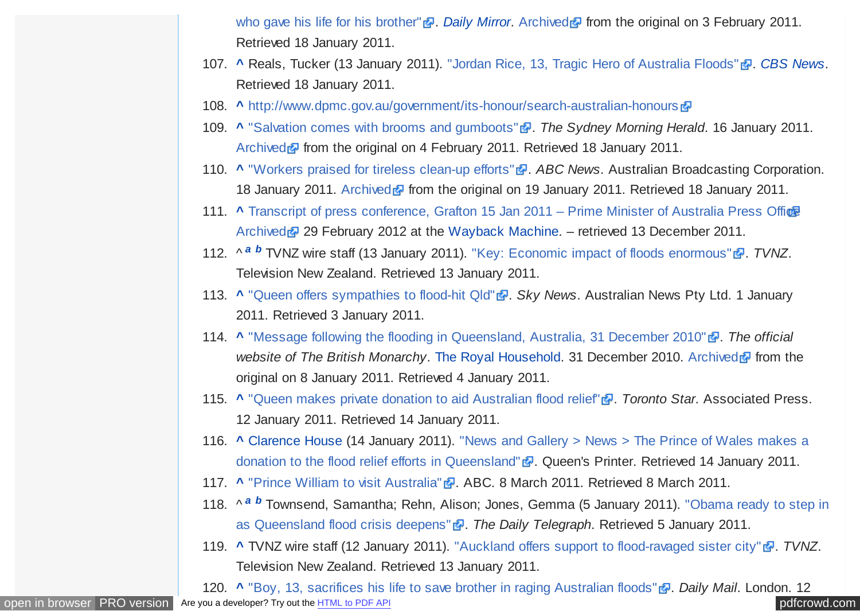who gave his life for his brother" **.** [Daily Mirror](https://en.wikipedia.org/wiki/Daily_Mirror)[.](http://www.mirror.co.uk/news/top-stories/2011/01/17/australia-floods-dad-pays-tribute-to-jordan-rice-the-teen-who-gave-his-life-for-his-brother-115875-22854621/) [Archived](https://web.archive.org/web/20110203122440/http://www.mirror.co.uk/news/top-stories/2011/01/17/australia-floods-dad-pays-tribute-to-jordan-rice-the-teen-who-gave-his-life-for-his-brother-115875-22854621/) **F** [from the original on 3 February 2011.](http://www.mirror.co.uk/news/top-stories/2011/01/17/australia-floods-dad-pays-tribute-to-jordan-rice-the-teen-who-gave-his-life-for-his-brother-115875-22854621/) Retrieved 18 January 2011.

- <span id="page-27-0"></span>107. **A Reals, Tucker (13 January 2011). ["Jordan Rice, 13, Tragic Hero of Australia Floods"](http://www.cbsnews.com/8301-503543_162-20028375-503543.html?tag=mncol;lst;1) <b>a**. *[CBS News](https://en.wikipedia.org/wiki/CBS_News).* Retrieved 18 January 2011.
- 108. **[^](#page-12-0)** <http://www.dpmc.gov.au/government/its-honour/search-australian-honours>
- 109. **A** ["Salvation comes with brooms and gumboots"](http://www.smh.com.au/environment/weather/salvation-comes-with-brooms-and-gumboots-20110115-19rv6.html) **.** *The Sydney Morning Herald*. 16 January 2011. [Archived](https://web.archive.org/web/20110204131219/http://www.smh.com.au/environment/weather/salvation-comes-with-brooms-and-gumboots-20110115-19rv6.html) **F** from the original on 4 February 2011. Retrieved 18 January 2011.
- 110. **[^](#page-12-0)** ["Workers praised for tireless clean-up efforts"](http://www.abc.net.au/news/stories/2011/01/15/3113639.htm) . ABC News. Australian Broadcasting Corporation. 18 January 2011. [Archived](https://web.archive.org/web/20110119190138/http://www.abc.net.au/news/stories/2011/01/15/3113639.htm) **F** from the original on 19 January 2011. Retrieved 18 January 2011.
- 111. **[^](#page-12-0)** [Transcript of press conference, Grafton 15 Jan 2011 Prime Minister of Australia Press Office](http://www.pm.gov.au/press-office/transcript-press-conference-22) [Archived](https://web.archive.org/web/20120229030007/http://www.pm.gov.au/press-office/transcript-press-conference-22) 29 February 2012 at the [Wayback Machine.](https://en.wikipedia.org/wiki/Wayback_Machine) – retrieved 13 December 2011.
- 112. ^ *[a](#page-12-0) [b](#page-14-0)* TVNZ wire staff (13 January 2011). ["Key: Economic impact of floods enormous"](http://tvnz.co.nz/politics-news/key-economic-impact-floods-enormous-3997059)  $\mathbb{F}$ . *TVNZ*. Television New Zealand. Retrieved 13 January 2011.
- 113. **[^](#page-13-0)** "Oueen offers sympathies to flood-hit Old" **.** *Sky News.* Australian News Pty Ltd. 1 January 2011. Retrieved 3 January 2011.
- 114. **A** ["Message following the flooding in Queensland, Australia, 31 December 2010"](http://www.royal.gov.uk/LatestNewsandDiary/Pressreleases/2010/MessagefollowingthefloodinginQueenslandAustralia31.aspx) **.** *The official website of The British Monarchy. [The Royal Household.](https://en.wikipedia.org/wiki/The_Royal_Household)* 31 December 2010. [Archived](https://web.archive.org/web/20110108150817/http://www.royal.gov.uk/LatestNewsandDiary/Pressreleases/2010/MessagefollowingthefloodinginQueenslandAustralia31.aspx) **F** from the original on 8 January 2011. Retrieved 4 January 2011.
- 115. **[^](#page-13-0)** ["Queen makes private donation to aid Australian flood relief"](http://www.thestar.com/news/world/article/920866--queen-makes-private-donation-to-aid-australian-flood-relief) . *Toronto Star.* Associated Press. 12 January 2011. Retrieved 14 January 2011.
- 116. **[^](#page-13-0)** [Clarence House \(14 January 2011\). "News and Gallery > News > The Prince of Wales makes a](http://www.princeofwales.gov.uk/newsandgallery/news/the_prince_of_wales_makes_a_donation_to_the_flood_relief_eff_93479592.html) donation to the flood relief efforts in Queensland" **.** Queen's Printer. Retrieved 14 January 2011.
- 117. **[^](#page-13-0)** ["Prince William to visit Australia"](http://www.abc.net.au/news/stories/2011/03/09/3159032.htm) . ABC. 8 March 2011. Retrieved 8 March 2011.
- 118. ^ *[a](#page-13-0) [b](#page-13-0)* [Townsend, Samantha; Rehn, Alison; Jones, Gemma \(5 January 2011\). "Obama ready to step in](http://www.dailytelegraph.com.au/news/obama-ready-to-step-in-as-queensland-flood-crisis-deepens/story-e6freuy9-1225981995822) as Queensland flood crisis deepens" **.** *The Daily Telegraph*. Retrieved 5 January 2011.
- 119. **[^](#page-13-0)** TVNZ wire staff (12 January 2011). ["Auckland offers support to flood-ravaged sister city"](http://tvnz.co.nz/national-news/auckland-offers-support-flood-ravaged-sister-city-3997019) . *TVNZ*. Television New Zealand. Retrieved 13 January 2011.

[open in browser](http://pdfcrowd.com/redirect/?url=https%3a%2f%2fen.wikipedia.org%2fwiki%2f2010%25E2%2580%259311_Queensland_floods&id=ma-161129012412-1059a10e) [PRO version](http://pdfcrowd.com/customize/) Are you a developer? Try out th[e HTML to PDF API](http://pdfcrowd.com/html-to-pdf-api/?ref=pdf) position of the ATML to PDF API [pdfcrowd.com](http://pdfcrowd.com) 120. **[^](#page-13-0)** ["Boy, 13, sacrifices his life to save brother in raging Australian floods"](http://www.dailymail.co.uk/news/article-1346418/Australia-floods-Queenslands-Jordan-Rice-13-sacrifices-life-save-brother.html) **.** *Daily Mail.* London. 12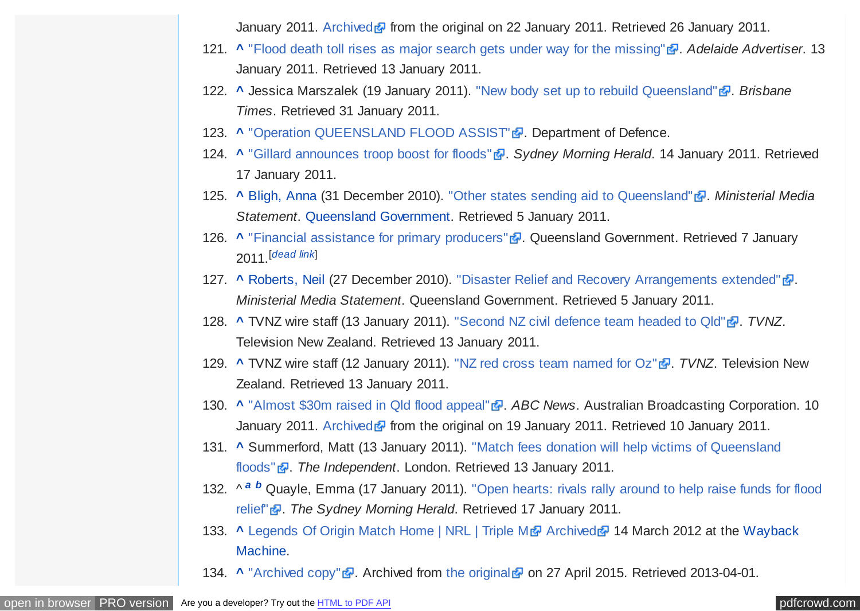January 2011. [Archived](https://web.archive.org/web/20110122131951/http://www.dailymail.co.uk/news/article-1346418/Australia-floods-Queenslands-Jordan-Rice-13-sacrifices-life-save-brother.html) **F** from the original on 22 January 2011. Retrieved 26 January 2011.

- <span id="page-28-0"></span>121. **[^](#page-13-0)** ["Flood death toll rises as major search gets under way for the missing"](http://www.adelaidenow.com.au/ipad/brisbane-flood-alert-as-wivenhoe-threatens-to-spill-over/story-fn6t2xlc-1225985477271) . Adelaide Advertiser. 13 January 2011. Retrieved 13 January 2011.
- 122. **[^](#page-14-0)** Jessica Marszalek (19 January 2011). ["New body set up to rebuild Queensland"](http://www.brisbanetimes.com.au/queensland/new-body-set-up-to-rebuild-queensland-20110119-19w23.html) . *Brisbane Times*. Retrieved 31 January 2011.
- 123. **[^](#page-14-0)** ["Operation QUEENSLAND FLOOD ASSIST"](http://www.defence.gov.au/opEx/global/opqldflood/index.htm) **.** Department of Defence.
- 124. **[^](#page-14-0)** ["Gillard announces troop boost for floods"](http://news.smh.com.au/breaking-news-national/gillard-announces-troop-boost-for-floods-20110114-19q77.html) **.** *Sydney Morning Herald.* 14 January 2011. Retrieved 17 January 2011.
- 125. **A [Bligh, Anna](https://en.wikipedia.org/wiki/Anna_Bligh) (31 December 2010).** ["Other states sending aid to Queensland"](http://www.cabinet.qld.gov.au/MMS/StatementDisplaySingle.aspx?id=73156) **.** Ministerial Media *Statement*. [Queensland Government.](https://en.wikipedia.org/wiki/Queensland_Government) Retrieved 5 January 2011.
- 126. **[^](#page-14-0)** ["Financial assistance for primary producers"](http://www.business.qld.gov.au/risk-management/flood-farm-financial.html) **.** Oueensland Government. Retrieved 7 January 2011. [*[dead link](https://en.wikipedia.org/wiki/Wikipedia:Link_rot)*]
- 127. **[^](#page-14-0)** [Roberts, Neil](https://en.wikipedia.org/wiki/Neil_Roberts_(politician)) (27 December 2010). ["Disaster Relief and Recovery Arrangements extended"](http://www.cabinet.qld.gov.au/MMS/StatementDisplaySingle.aspx?id=73131) ... *Ministerial Media Statement*. Queensland Government. Retrieved 5 January 2011.
- 128. **[^](#page-14-0)** TVNZ wire staff (13 January 2011). ["Second NZ civil defence team headed to Qld"](http://tvnz.co.nz/national-news/more-nz-help-queensland-3997371) . *TVNZ*. Television New Zealand. Retrieved 13 January 2011.
- 129. **[^](#page-14-0)** TVNZ wire staff (12 January 2011). ["NZ red cross team named for Oz"](http://tvnz.co.nz/national-news/nz-red-cross-team-named-head-australia-3996497) <sup>1</sup>. *TVNZ*. Television New Zealand. Retrieved 13 January 2011.
- 130. **[^](#page-14-0)** "Almost \$30m raised in Old flood appeal" **.** *ABC News.* Australian Broadcasting Corporation. 10 January 2011. [Archived](https://web.archive.org/web/20110119084906/http://www.abc.net.au/news/stories/2011/01/09/3109226.htm) **F** from the original on 19 January 2011. Retrieved 10 January 2011.
- 131. **[^](#page-15-0)** [Summerford, Matt \(13 January 2011\). "Match fees donation will help victims of Queensland](http://www.independent.co.uk/sport/cricket/match-fees-donation-will-help-victims-of-queensland-floods-2183014.html#) floods" **.** *The Independent.* London. Retrieved 13 January 2011.
- 132. ^ *[a](#page-15-0) [b](#page-15-0)* [Quayle, Emma \(17 January 2011\). "Open hearts: rivals rally around to help raise funds for flood](http://www.smh.com.au/sport/tennis/open-hearts-rivals-rally-around-to-help-raise-funds-for-flood-relief-20110116-19skb.html) relief" . *The Sydney Morning Herald*. Retrieved 17 January 2011.
- 133. **A [Legends Of Origin Match Home | NRL | Triple M](https://en.wikipedia.org/wiki/Wayback_Machine) <b>A** [Archived](https://web.archive.org/web/20120314022605/http://www.triplem.com.au/sydney/sport/nrl/legends-of-origin-2011) 14 March 2012 at the Wayback Machine.
- 134. **[^](#page-15-0)** ["Archived copy"](https://web.archive.org/web/20150427142916/http://writersonrafts.org/2011/01/13/hello-world/) **a**. Archived from [the original](http://writersonrafts.org/2011/01/13/hello-world/) a on 27 April 2015. Retrieved 2013-04-01.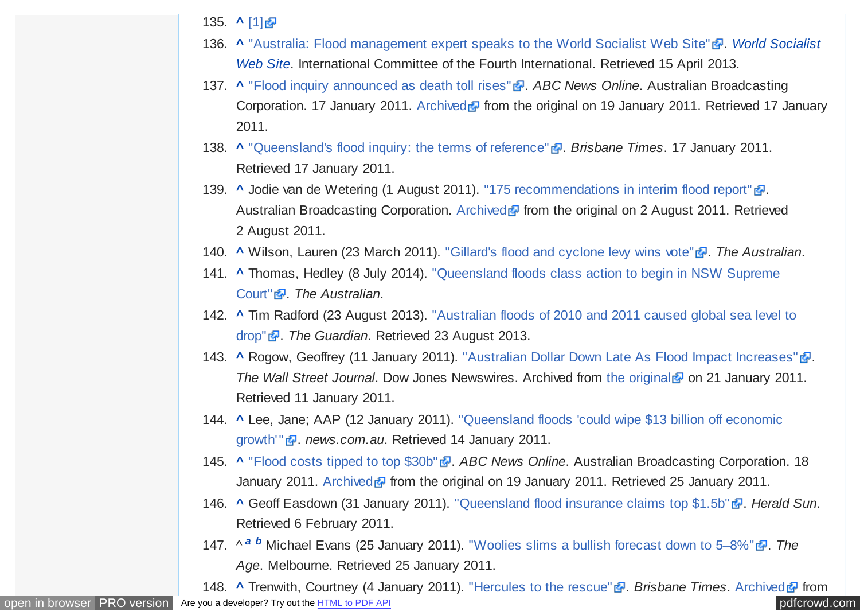- <span id="page-29-0"></span>135. **[^](#page-15-0)** [\[1\]](http://www.couriermail.com.au/ipad/writers-put-words-into-action/story-fn6ck8la-1225990464287)
- 136. [^](#page-16-0) ["Australia: Flood management expert speaks to the World Socialist Web Site"](https://en.wikipedia.org/wiki/World_Socialist_Web_Site) **a**. World Socialist *Web Site*. International Committee of the Fourth International. Retrieved 15 April 2013.
- 137. **[^](#page-16-0)** ["Flood inquiry announced as death toll rises"](http://www.abc.net.au/news/stories/2011/01/17/3114735.htm) **.** *ABC News Online*. Australian Broadcasting Corporation. 17 January 2011. [Archived](https://web.archive.org/web/20110119073408/http://www.abc.net.au/news/stories/2011/01/17/3114735.htm) **F** from the original on 19 January 2011. Retrieved 17 January 2011.
- 138. **[^](#page-16-0)** ["Queensland's flood inquiry: the terms of reference"](http://www.brisbanetimes.com.au/environment/weather/queenslands-flood-inquiry-the-terms-of-reference-20110117-19tv7.html) **.** Brisbane Times. 17 January 2011. Retrieved 17 January 2011.
- 139. **[^](#page-16-0)** Jodie van de Wetering (1 August 2011). ["175 recommendations in interim flood report"](http://www.abc.net.au/local/stories/2011/08/01/3281253.htm) ... Australian Broadcasting Corporation. [Archived](http://www.webcitation.org/60dLg0Ocs?url=http%3A%2F%2Fwww.abc.net.au%2Flocal%2Fstories%2F2011%2F08%2F01%2F3281253.htm) **F** from the original on 2 August 2011. Retrieved 2 August 2011.
- 140. **A** Wilson, Lauren (23 March 2011). ["Gillard's flood and cyclone levy wins vote"](http://www.theaustralian.com.au/national-affairs/gillards-flood-and-cyclone-levy-wins-vote/story-fn59niix-1226026374142) **.** *The Australian*.
- 141. **[^](#page-16-0)** [Thomas, Hedley \(8 July 2014\). "Queensland floods class action to begin in NSW Supreme](http://www.theaustralian.com.au/news/nation/queensland-floods-class-action-to-begin-in-nsw-supreme-court/story-e6frg6nf-1226981310824) Court" . *The Australian*.
- 142. **[^](#page-17-0)** [Tim Radford \(23 August 2013\). "Australian floods of 2010 and 2011 caused global sea level to](http://www.theguardian.com/environment/2013/aug/23/australian-floods-global-sea-level) drop" . *The Guardian*. Retrieved 23 August 2013.
- 143. **[^](#page-17-0)** Rogow, Geoffrey (11 January 2011). ["Australian Dollar Down Late As Flood Impact Increases"](https://web.archive.org/web/20110121065901/http://online.wsj.com/article/BT-CO-20110111-700158.html) ?. *The Wall Street Journal.* Dow Jones Newswires. Archived from [the original](http://online.wsj.com/article/BT-CO-20110111-700158.html) **P** on 21 January 2011. Retrieved 11 January 2011.
- 144. **[^](#page-17-0)** [Lee, Jane; AAP \(12 January 2011\). "Queensland floods 'could wipe \\$13 billion off economic](http://www.news.com.au/business/queensland-floods-could-cut-gdp-by-1-per-cent/story-e6frfm1i-1225986231656l) growth'" **a**. news.com.au. Retrieved 14 January 2011.
- 145. **A** ["Flood costs tipped to top \\$30b"](http://www.abc.net.au/news/stories/2011/01/18/3115815.htm) . *ABC News Online*. Australian Broadcasting Corporation. 18 January 2011. [Archived](https://web.archive.org/web/20110119035232/http://www.abc.net.au/news/stories/2011/01/18/3115815.htm) **F** from the original on 19 January 2011. Retrieved 25 January 2011.
- 146. **[^](#page-17-0)** Geoff Easdown (31 January 2011). ["Queensland flood insurance claims top \\$1.5b"](http://www.heraldsun.com.au/business/queensland-flood-insurance-claims-top-15b/story-e6frfh4f-1225997292454) . *Herald Sun*. Retrieved 6 February 2011.
- 147. ^  $a$  *[b](#page-17-0)* Michael Evans (25 January 2011). ["Woolies slims a bullish forecast down to 5–8%"](http://www.theage.com.au/business/woolies-slims-a-bullish-forecast-down-to-58-20110124-1a2z9.html)  $\bar{a}$ . The *Age*. Melbourne. Retrieved 25 January 2011.

[open in browser](http://pdfcrowd.com/redirect/?url=https%3a%2f%2fen.wikipedia.org%2fwiki%2f2010%25E2%2580%259311_Queensland_floods&id=ma-161129012412-1059a10e) [PRO version](http://pdfcrowd.com/customize/) Are you a developer? Try out th[e HTML to PDF API](http://pdfcrowd.com/html-to-pdf-api/?ref=pdf) provided and the ATML to PDF API [pdfcrowd.com](http://pdfcrowd.com) 148. **A Trenwith, Courtney (4 January 2011).** ["Hercules to the rescue"](http://www.brisbanetimes.com.au/environment/weather/hercules-to-the-rescue-20110104-19ewc.html) **.** Brisbane Times. [Archived](https://web.archive.org/web/20110204125928/http://www.brisbanetimes.com.au/environment/weather/hercules-to-the-rescue-20110104-19ewc.html) **F** from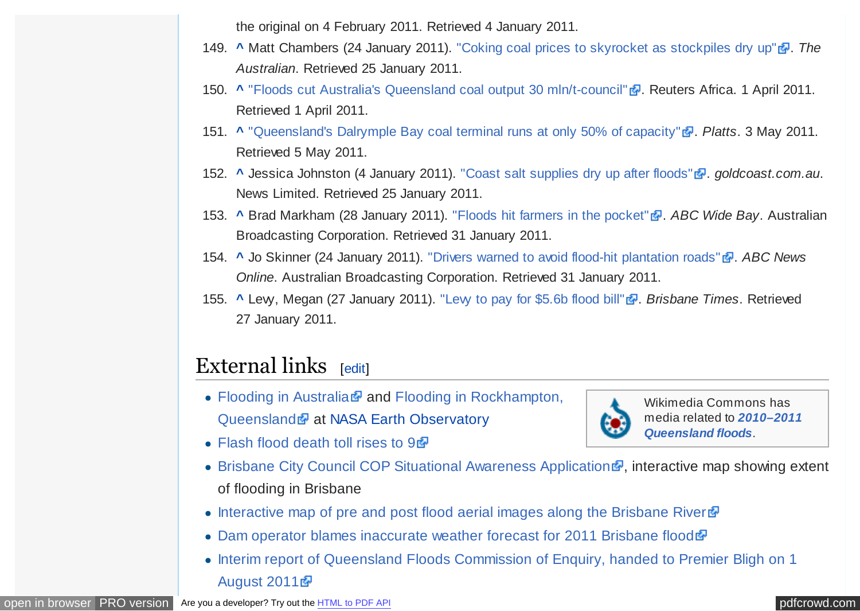the original on 4 February 2011. Retrieved 4 January 2011.

- <span id="page-30-0"></span>149. **[^](#page-17-0)** Matt Chambers (24 January 2011). ["Coking coal prices to skyrocket as stockpiles dry up"](http://www.theaustralian.com.au/business/coking-coal-prices-to-skyrocket-as-stockpiles-dry-up/story-e6frg8zx-1225993253543)  $\frac{1}{2}$ . The *Australian*. Retrieved 25 January 2011.
- 150. **[^](#page-17-0)** ["Floods cut Australia's Queensland coal output 30 mln/t-council"](http://af.reuters.com/article/metalsNews/idAFL3E7EV48220110401) **.** Reuters Africa. 1 April 2011. Retrieved 1 April 2011.
- 151. **[^](#page-18-0)** ["Queensland's Dalrymple Bay coal terminal runs at only 50% of capacity"](http://www.platts.com/RSSFeedDetailedNews/RSSFeed/Coal/8839228) . Platts 3 May 2011. Retrieved 5 May 2011.
- 152. **[^](#page-18-0)** Jessica Johnston (4 January 2011). ["Coast salt supplies dry up after floods"](http://www.goldcoast.com.au/article/2011/01/04/280095_gold-coast-news.html) . *goldcoast.com.au.* News Limited. Retrieved 25 January 2011.
- 153. **A** Brad Markham (28 January 2011). ["Floods hit farmers in the pocket"](http://www.abc.net.au/local/stories/2011/01/28/3123709.htm) **.** ABC Wide Bay. Australian Broadcasting Corporation. Retrieved 31 January 2011.
- 154. **[^](#page-18-0)** Jo Skinner (24 January 2011). ["Drivers warned to avoid flood-hit plantation roads"](http://www.abc.net.au/news/stories/2011/01/24/3119613.htm) <sup>1</sup>. ABC News *Online*. Australian Broadcasting Corporation. Retrieved 31 January 2011.
- 155. **A Lew, Megan (27 January 2011).** "Lew to pay for \$5.6b flood bill" **.** *Brisbane Times.* Retrieved 27 January 2011.

## External links [[edit\]](https://en.wikipedia.org/w/index.php?title=2010%E2%80%9311_Queensland_floods&action=edit§ion=24)

- Flooding in Australia **and Flooding in Rockhampton**, Queensland **a** at [NASA Earth Observatory](https://en.wikipedia.org/wiki/NASA_Earth_Observatory)
- [Flash flood death toll rises to 9](http://www.abc.net.au/news/stories/2011/01/11/3110667.htm) <sup>a</sup>



Wikimedia Commons has media related to *2010–2011 [Queensland floods](https://commons.wikimedia.org/wiki/Category:2010%E2%80%932011_Queensland_floods)*.

- [Brisbane City Council COP Situational Awareness Application](https://web.archive.org/web/20110116092658/http://elbflood-473794511.ap-southeast-1.elb.amazonaws.com:80/floodcop/)  $\mathbb{F}$ , interactive map showing extent of flooding in Brisbane
- [Interactive map of pre and post flood aerial images along the Brisbane River](http://www.nearmap.com/?ll=-27.508638,152.974365&z=21&t=k&nmd=20110113)  $\mathbb{F}$
- [Dam operator blames inaccurate weather forecast for 2011 Brisbane flood](http://www.abc.net.au/news/stories/2011/03/08/3157741.htm)
- Interim report of Oueensland Floods Commission of Enquiry, handed to Premier Bligh on 1 August 2011 ?